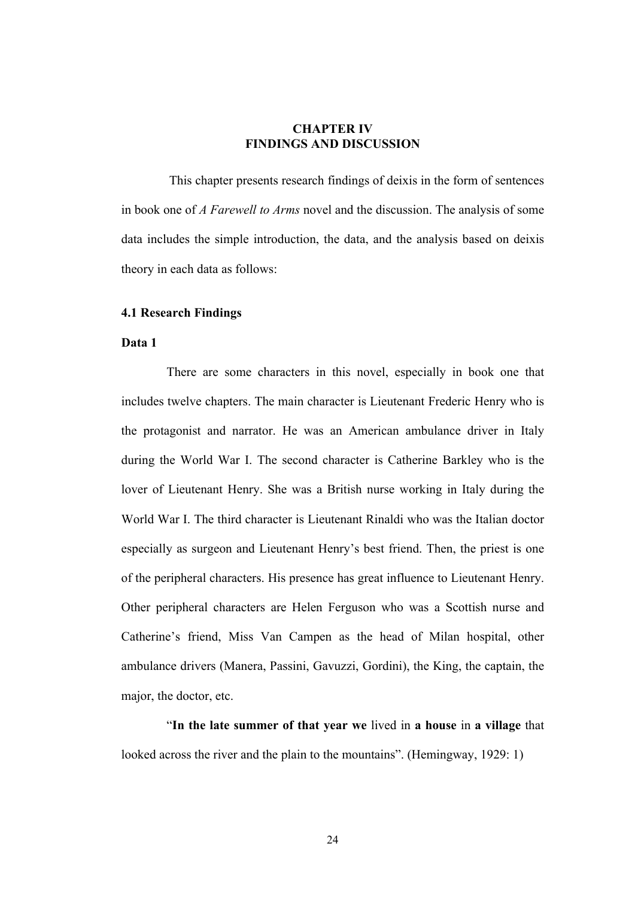# **CHAPTER IV FINDINGS AND DISCUSSION**

This chapter presents research findings of deixis in the form of sentences in book one of *A Farewell to Arms* novel and the discussion. The analysis of some data includes the simple introduction, the data, and the analysis based on deixis theory in each data as follows:

## **4.1 Research Findings**

### **Data 1**

There are some characters in this novel, especially in book one that includes twelve chapters. The main character is Lieutenant Frederic Henry who is the protagonist and narrator. He was an American ambulance driver in Italy during the World War I. The second character is Catherine Barkley who is the lover of Lieutenant Henry. She was a British nurse working in Italy during the World War I. The third character is Lieutenant Rinaldi who was the Italian doctor especially as surgeon and Lieutenant Henry's best friend. Then, the priest is one of the peripheral characters. His presence has great influence to Lieutenant Henry. Other peripheral characters are Helen Ferguson who was a Scottish nurse and Catherine's friend, Miss Van Campen as the head of Milan hospital, other ambulance drivers (Manera, Passini, Gavuzzi, Gordini), the King, the captain, the major, the doctor, etc.

"**In the late summer of that year we** lived in **a house** in **a village** that looked across the river and the plain to the mountains". (Hemingway, 1929: 1)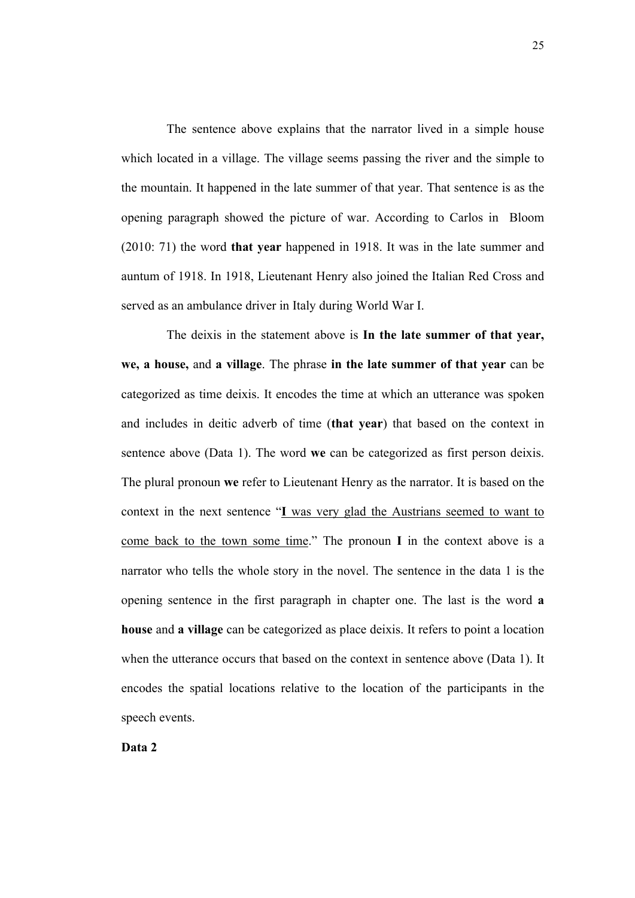The sentence above explains that the narrator lived in a simple house which located in a village. The village seems passing the river and the simple to the mountain. It happened in the late summer of that year. That sentence is as the opening paragraph showed the picture of war. According to Carlos in Bloom (2010: 71) the word **that year** happened in 1918. It was in the late summer and auntum of 1918. In 1918, Lieutenant Henry also joined the Italian Red Cross and served as an ambulance driver in Italy during World War I.

The deixis in the statement above is **In the late summer of that year, we, a house,** and **a village**. The phrase **in the late summer of that year** can be categorized as time deixis. It encodes the time at which an utterance was spoken and includes in deitic adverb of time (**that year**) that based on the context in sentence above (Data 1). The word **we** can be categorized as first person deixis. The plural pronoun **we** refer to Lieutenant Henry as the narrator. It is based on the context in the next sentence "**I** was very glad the Austrians seemed to want to come back to the town some time." The pronoun **I** in the context above is a narrator who tells the whole story in the novel. The sentence in the data 1 is the opening sentence in the first paragraph in chapter one. The last is the word **a house** and **a village** can be categorized as place deixis. It refers to point a location when the utterance occurs that based on the context in sentence above (Data 1). It encodes the spatial locations relative to the location of the participants in the speech events.

**Data 2**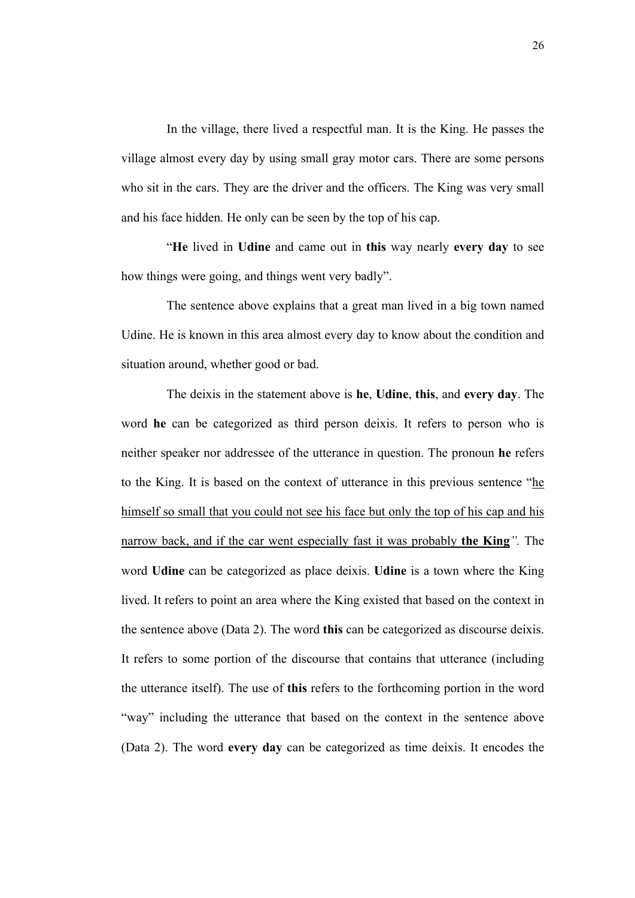In the village, there lived a respectful man. It is the King. He passes the village almost every day by using small gray motor cars. There are some persons who sit in the cars. They are the driver and the officers. The King was very small and his face hidden. He only can be seen by the top of his cap.

"**He** lived in **Udine** and came out in **this** way nearly **every day** to see how things were going, and things went very badly".

The sentence above explains that a great man lived in a big town named Udine. He is known in this area almost every day to know about the condition and situation around, whether good or bad.

The deixis in the statement above is **he**, **Udine**, **this**, and **every day**. The word **he** can be categorized as third person deixis. It refers to person who is neither speaker nor addressee of the utterance in question. The pronoun **he** refers to the King. It is based on the context of utterance in this previous sentence "he himself so small that you could not see his face but only the top of his cap and his narrow back, and if the car went especially fast it was probably **the King***".* The word **Udine** can be categorized as place deixis. **Udine** is a town where the King lived. It refers to point an area where the King existed that based on the context in the sentence above (Data 2). The word **this** can be categorized as discourse deixis. It refers to some portion of the discourse that contains that utterance (including the utterance itself). The use of **this** refers to the forthcoming portion in the word "way" including the utterance that based on the context in the sentence above (Data 2). The word **every day** can be categorized as time deixis. It encodes the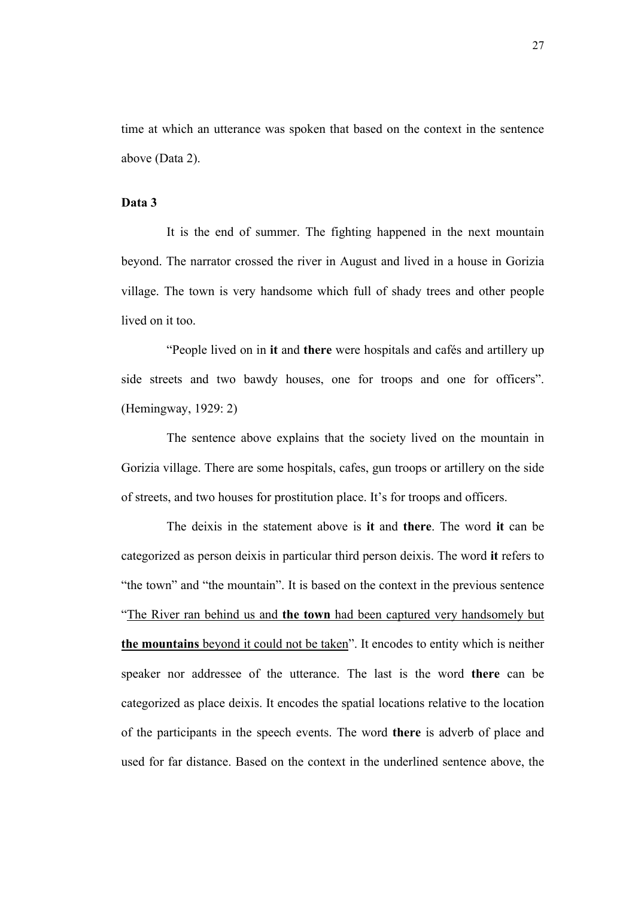time at which an utterance was spoken that based on the context in the sentence above (Data 2).

### **Data 3**

It is the end of summer. The fighting happened in the next mountain beyond. The narrator crossed the river in August and lived in a house in Gorizia village. The town is very handsome which full of shady trees and other people lived on it too.

"People lived on in **it** and **there** were hospitals and cafés and artillery up side streets and two bawdy houses, one for troops and one for officers". (Hemingway, 1929: 2)

The sentence above explains that the society lived on the mountain in Gorizia village. There are some hospitals, cafes, gun troops or artillery on the side of streets, and two houses for prostitution place. It's for troops and officers.

The deixis in the statement above is **it** and **there**. The word **it** can be categorized as person deixis in particular third person deixis. The word **it** refers to "the town" and "the mountain". It is based on the context in the previous sentence "The River ran behind us and **the town** had been captured very handsomely but **the mountains** beyond it could not be taken". It encodes to entity which is neither speaker nor addressee of the utterance. The last is the word **there** can be categorized as place deixis. It encodes the spatial locations relative to the location of the participants in the speech events. The word **there** is adverb of place and used for far distance. Based on the context in the underlined sentence above, the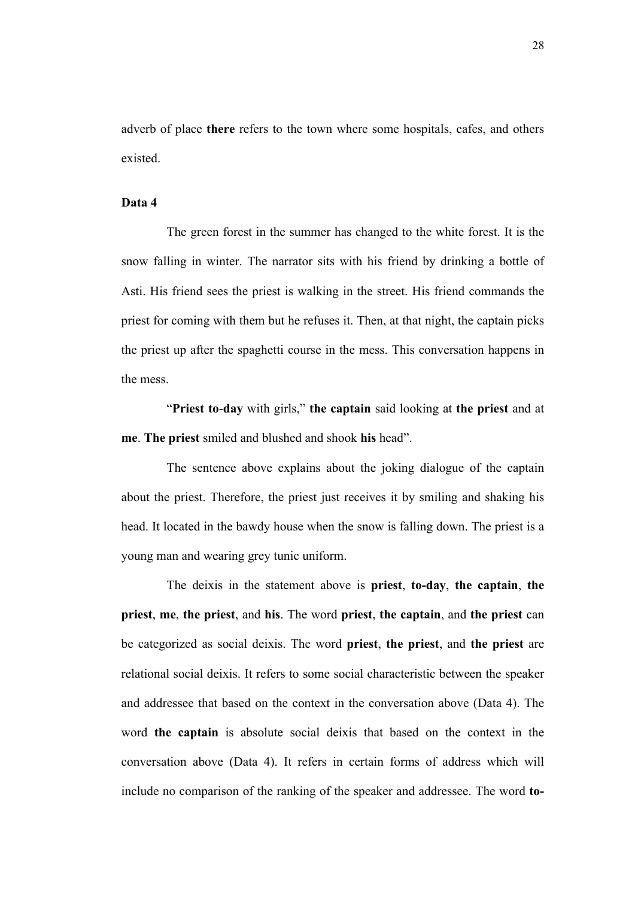adverb of place **there** refers to the town where some hospitals, cafes, and others existed.

### **Data 4**

The green forest in the summer has changed to the white forest. It is the snow falling in winter. The narrator sits with his friend by drinking a bottle of Asti. His friend sees the priest is walking in the street. His friend commands the priest for coming with them but he refuses it. Then, at that night, the captain picks the priest up after the spaghetti course in the mess. This conversation happens in the mess.

"**Priest to**-**day** with girls," **the captain** said looking at **the priest** and at **me**. **The priest** smiled and blushed and shook **his** head".

The sentence above explains about the joking dialogue of the captain about the priest. Therefore, the priest just receives it by smiling and shaking his head. It located in the bawdy house when the snow is falling down. The priest is a young man and wearing grey tunic uniform.

The deixis in the statement above is **priest**, **to-day**, **the captain**, **the priest**, **me**, **the priest**, and **his**. The word **priest**, **the captain**, and **the priest** can be categorized as social deixis. The word **priest**, **the priest**, and **the priest** are relational social deixis. It refers to some social characteristic between the speaker and addressee that based on the context in the conversation above (Data 4). The word **the captain** is absolute social deixis that based on the context in the conversation above (Data 4). It refers in certain forms of address which will include no comparison of the ranking of the speaker and addressee. The word **to-**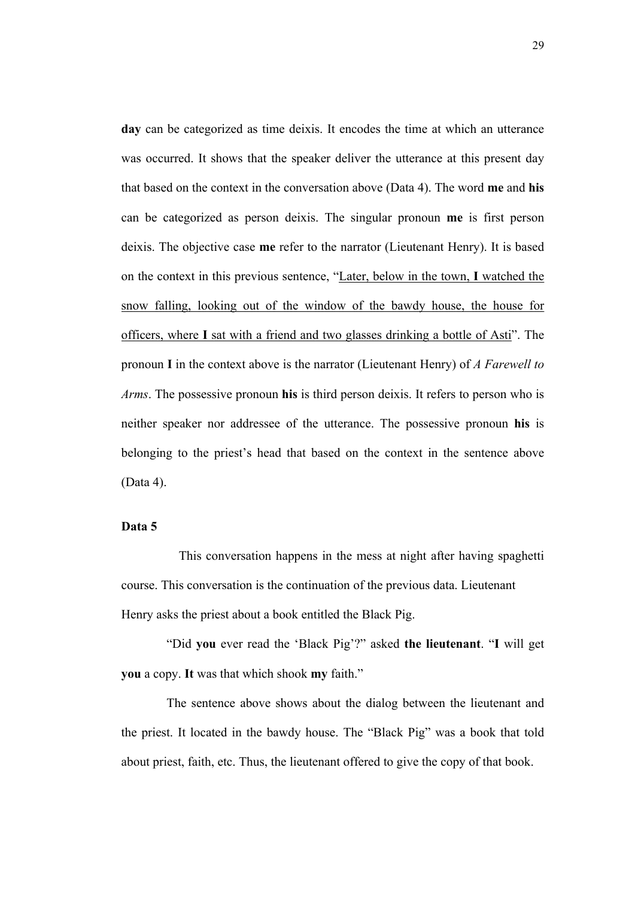**day** can be categorized as time deixis. It encodes the time at which an utterance was occurred. It shows that the speaker deliver the utterance at this present day that based on the context in the conversation above (Data 4). The word **me** and **his** can be categorized as person deixis. The singular pronoun **me** is first person deixis. The objective case **me** refer to the narrator (Lieutenant Henry). It is based on the context in this previous sentence, "Later, below in the town, **I** watched the snow falling, looking out of the window of the bawdy house, the house for officers, where **I** sat with a friend and two glasses drinking a bottle of Asti". The pronoun **I** in the context above is the narrator (Lieutenant Henry) of *A Farewell to Arms*. The possessive pronoun **his** is third person deixis. It refers to person who is neither speaker nor addressee of the utterance. The possessive pronoun **his** is belonging to the priest's head that based on the context in the sentence above (Data 4).

# **Data 5**

This conversation happens in the mess at night after having spaghetti course. This conversation is the continuation of the previous data. Lieutenant Henry asks the priest about a book entitled the Black Pig.

"Did **you** ever read the 'Black Pig'?" asked **the lieutenant**. "**I** will get **you** a copy. **It** was that which shook **my** faith."

The sentence above shows about the dialog between the lieutenant and the priest. It located in the bawdy house. The "Black Pig" was a book that told about priest, faith, etc. Thus, the lieutenant offered to give the copy of that book.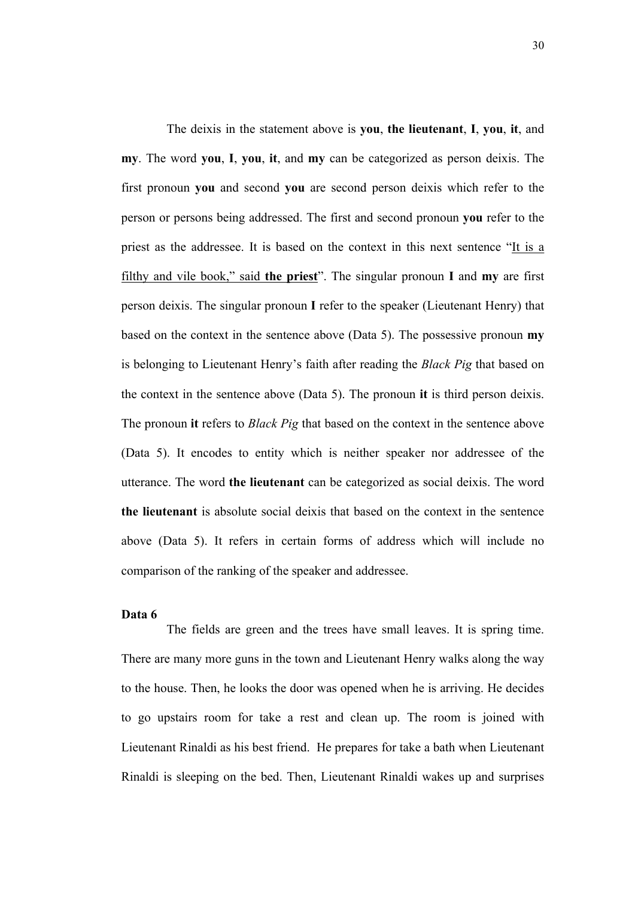The deixis in the statement above is **you**, **the lieutenant**, **I**, **you**, **it**, and **my**. The word **you**, **I**, **you**, **it**, and **my** can be categorized as person deixis. The first pronoun **you** and second **you** are second person deixis which refer to the person or persons being addressed. The first and second pronoun **you** refer to the priest as the addressee. It is based on the context in this next sentence "It is a filthy and vile book," said **the priest**". The singular pronoun **I** and **my** are first person deixis. The singular pronoun **I** refer to the speaker (Lieutenant Henry) that based on the context in the sentence above (Data 5). The possessive pronoun **my** is belonging to Lieutenant Henry's faith after reading the *Black Pig* that based on the context in the sentence above (Data 5). The pronoun **it** is third person deixis. The pronoun **it** refers to *Black Pig* that based on the context in the sentence above (Data 5). It encodes to entity which is neither speaker nor addressee of the utterance. The word **the lieutenant** can be categorized as social deixis. The word **the lieutenant** is absolute social deixis that based on the context in the sentence above (Data 5). It refers in certain forms of address which will include no comparison of the ranking of the speaker and addressee.

## **Data 6**

The fields are green and the trees have small leaves. It is spring time. There are many more guns in the town and Lieutenant Henry walks along the way to the house. Then, he looks the door was opened when he is arriving. He decides to go upstairs room for take a rest and clean up. The room is joined with Lieutenant Rinaldi as his best friend. He prepares for take a bath when Lieutenant Rinaldi is sleeping on the bed. Then, Lieutenant Rinaldi wakes up and surprises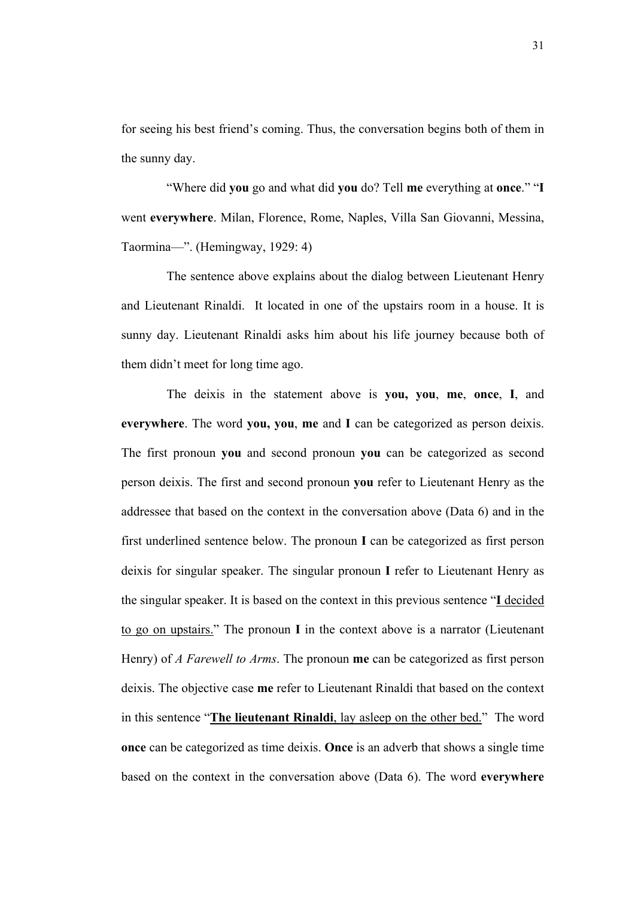for seeing his best friend's coming. Thus, the conversation begins both of them in the sunny day.

"Where did **you** go and what did **you** do? Tell **me** everything at **once**." "**I** went **everywhere**. Milan, Florence, Rome, Naples, Villa San Giovanni, Messina, Taormina—". (Hemingway, 1929: 4)

The sentence above explains about the dialog between Lieutenant Henry and Lieutenant Rinaldi. It located in one of the upstairs room in a house. It is sunny day. Lieutenant Rinaldi asks him about his life journey because both of them didn't meet for long time ago.

The deixis in the statement above is **you, you**, **me**, **once**, **I**, and **everywhere**. The word **you, you**, **me** and **I** can be categorized as person deixis. The first pronoun **you** and second pronoun **you** can be categorized as second person deixis. The first and second pronoun **you** refer to Lieutenant Henry as the addressee that based on the context in the conversation above (Data 6) and in the first underlined sentence below. The pronoun **I** can be categorized as first person deixis for singular speaker. The singular pronoun **I** refer to Lieutenant Henry as the singular speaker. It is based on the context in this previous sentence "**I** decided to go on upstairs." The pronoun **I** in the context above is a narrator (Lieutenant Henry) of *A Farewell to Arms*. The pronoun **me** can be categorized as first person deixis. The objective case **me** refer to Lieutenant Rinaldi that based on the context in this sentence "**The lieutenant Rinaldi**, lay asleep on the other bed." The word **once** can be categorized as time deixis. **Once** is an adverb that shows a single time based on the context in the conversation above (Data 6). The word **everywhere**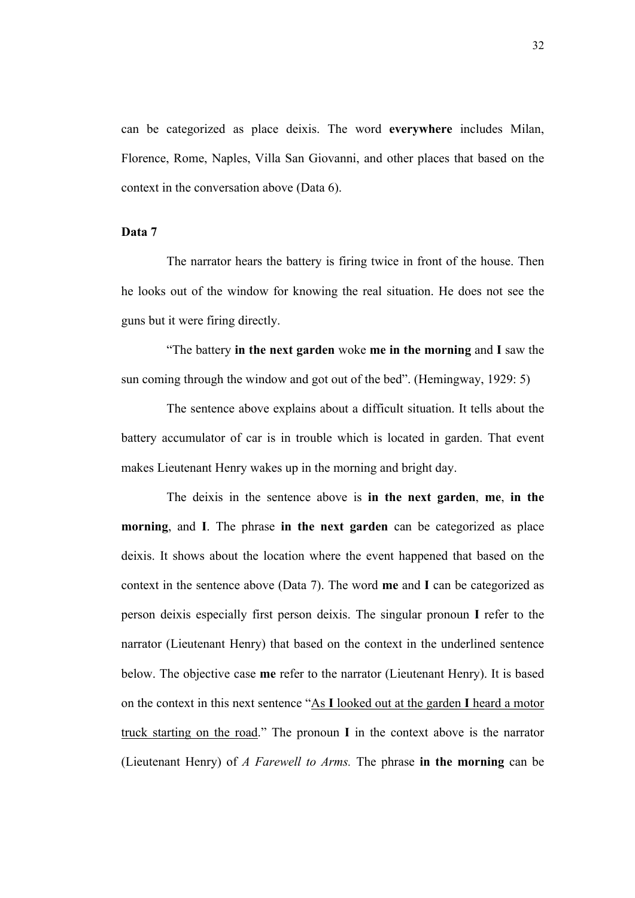can be categorized as place deixis. The word **everywhere** includes Milan, Florence, Rome, Naples, Villa San Giovanni, and other places that based on the context in the conversation above (Data 6).

# **Data 7**

The narrator hears the battery is firing twice in front of the house. Then he looks out of the window for knowing the real situation. He does not see the guns but it were firing directly.

"The battery **in the next garden** woke **me in the morning** and **I** saw the sun coming through the window and got out of the bed". (Hemingway, 1929: 5)

The sentence above explains about a difficult situation. It tells about the battery accumulator of car is in trouble which is located in garden. That event makes Lieutenant Henry wakes up in the morning and bright day.

The deixis in the sentence above is **in the next garden**, **me**, **in the morning**, and **I**. The phrase **in the next garden** can be categorized as place deixis. It shows about the location where the event happened that based on the context in the sentence above (Data 7). The word **me** and **I** can be categorized as person deixis especially first person deixis. The singular pronoun **I** refer to the narrator (Lieutenant Henry) that based on the context in the underlined sentence below. The objective case **me** refer to the narrator (Lieutenant Henry). It is based on the context in this next sentence "As **I** looked out at the garden **I** heard a motor truck starting on the road." The pronoun **I** in the context above is the narrator (Lieutenant Henry) of *A Farewell to Arms.* The phrase **in the morning** can be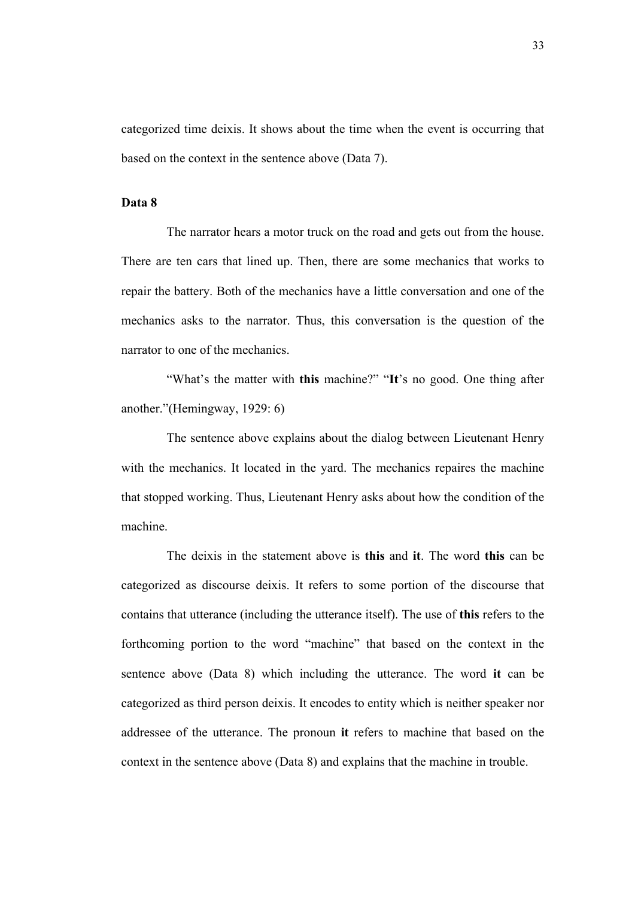categorized time deixis. It shows about the time when the event is occurring that based on the context in the sentence above (Data 7).

### **Data 8**

The narrator hears a motor truck on the road and gets out from the house. There are ten cars that lined up. Then, there are some mechanics that works to repair the battery. Both of the mechanics have a little conversation and one of the mechanics asks to the narrator. Thus, this conversation is the question of the narrator to one of the mechanics.

"What's the matter with **this** machine?" "**It**'s no good. One thing after another."(Hemingway, 1929: 6)

The sentence above explains about the dialog between Lieutenant Henry with the mechanics. It located in the yard. The mechanics repaires the machine that stopped working. Thus, Lieutenant Henry asks about how the condition of the machine.

The deixis in the statement above is **this** and **it**. The word **this** can be categorized as discourse deixis. It refers to some portion of the discourse that contains that utterance (including the utterance itself). The use of **this** refers to the forthcoming portion to the word "machine" that based on the context in the sentence above (Data 8) which including the utterance. The word **it** can be categorized as third person deixis. It encodes to entity which is neither speaker nor addressee of the utterance. The pronoun **it** refers to machine that based on the context in the sentence above (Data 8) and explains that the machine in trouble.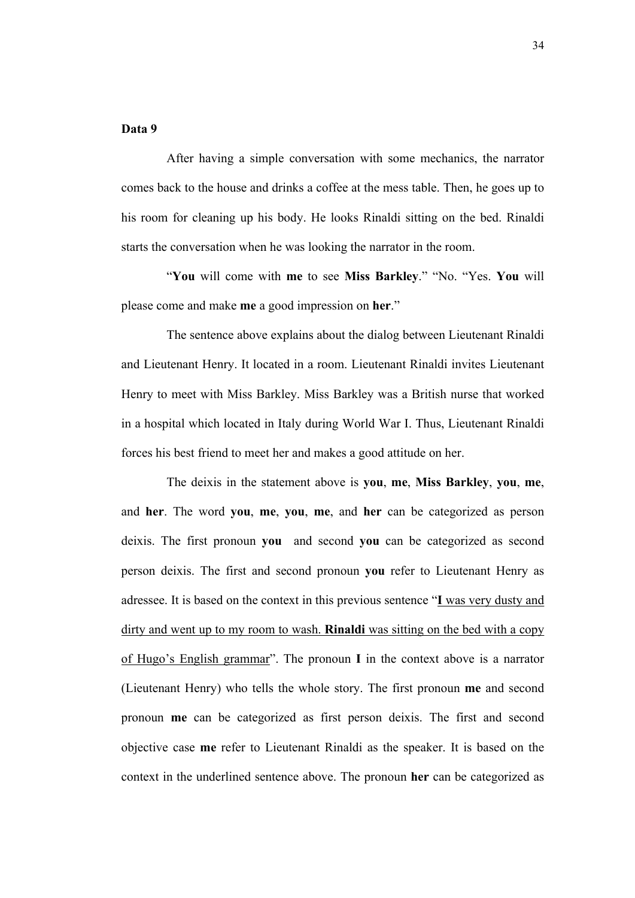# **Data 9**

After having a simple conversation with some mechanics, the narrator comes back to the house and drinks a coffee at the mess table. Then, he goes up to his room for cleaning up his body. He looks Rinaldi sitting on the bed. Rinaldi starts the conversation when he was looking the narrator in the room.

"**You** will come with **me** to see **Miss Barkley**." "No. "Yes. **You** will please come and make **me** a good impression on **her**."

The sentence above explains about the dialog between Lieutenant Rinaldi and Lieutenant Henry. It located in a room. Lieutenant Rinaldi invites Lieutenant Henry to meet with Miss Barkley. Miss Barkley was a British nurse that worked in a hospital which located in Italy during World War I. Thus, Lieutenant Rinaldi forces his best friend to meet her and makes a good attitude on her.

The deixis in the statement above is **you**, **me**, **Miss Barkley**, **you**, **me**, and **her**. The word **you**, **me**, **you**, **me**, and **her** can be categorized as person deixis. The first pronoun **you** and second **you** can be categorized as second person deixis. The first and second pronoun **you** refer to Lieutenant Henry as adressee. It is based on the context in this previous sentence "**I** was very dusty and dirty and went up to my room to wash. **Rinaldi** was sitting on the bed with a copy of Hugo's English grammar". The pronoun **I** in the context above is a narrator (Lieutenant Henry) who tells the whole story. The first pronoun **me** and second pronoun **me** can be categorized as first person deixis. The first and second objective case **me** refer to Lieutenant Rinaldi as the speaker. It is based on the context in the underlined sentence above. The pronoun **her** can be categorized as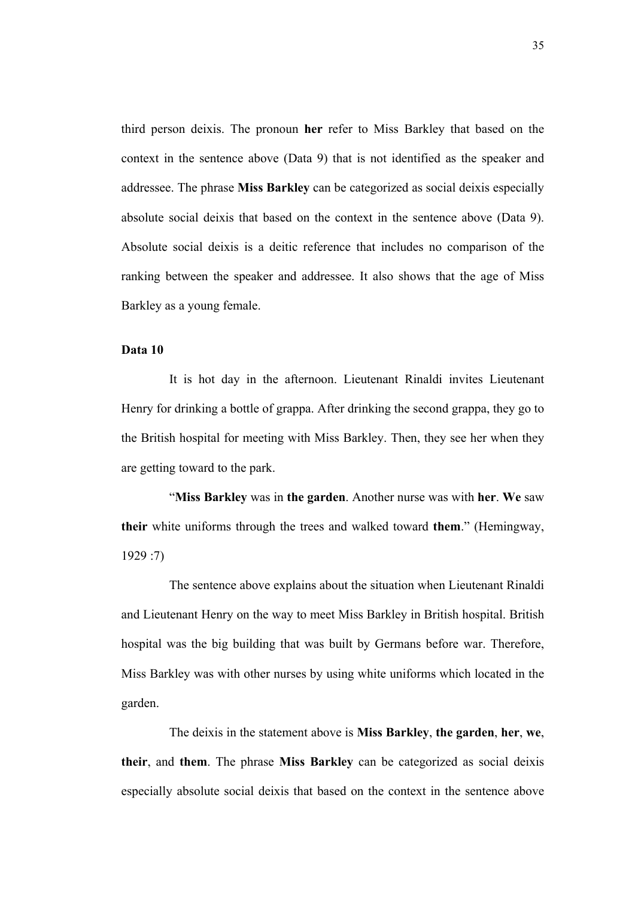third person deixis. The pronoun **her** refer to Miss Barkley that based on the context in the sentence above (Data 9) that is not identified as the speaker and addressee. The phrase **Miss Barkley** can be categorized as social deixis especially absolute social deixis that based on the context in the sentence above (Data 9). Absolute social deixis is a deitic reference that includes no comparison of the ranking between the speaker and addressee. It also shows that the age of Miss Barkley as a young female.

## **Data 10**

It is hot day in the afternoon. Lieutenant Rinaldi invites Lieutenant Henry for drinking a bottle of grappa. After drinking the second grappa, they go to the British hospital for meeting with Miss Barkley. Then, they see her when they are getting toward to the park.

"**Miss Barkley** was in **the garden**. Another nurse was with **her**. **We** saw **their** white uniforms through the trees and walked toward **them**." (Hemingway, 1929 :7)

The sentence above explains about the situation when Lieutenant Rinaldi and Lieutenant Henry on the way to meet Miss Barkley in British hospital. British hospital was the big building that was built by Germans before war. Therefore, Miss Barkley was with other nurses by using white uniforms which located in the garden.

The deixis in the statement above is **Miss Barkley**, **the garden**, **her**, **we**, **their**, and **them**. The phrase **Miss Barkley** can be categorized as social deixis especially absolute social deixis that based on the context in the sentence above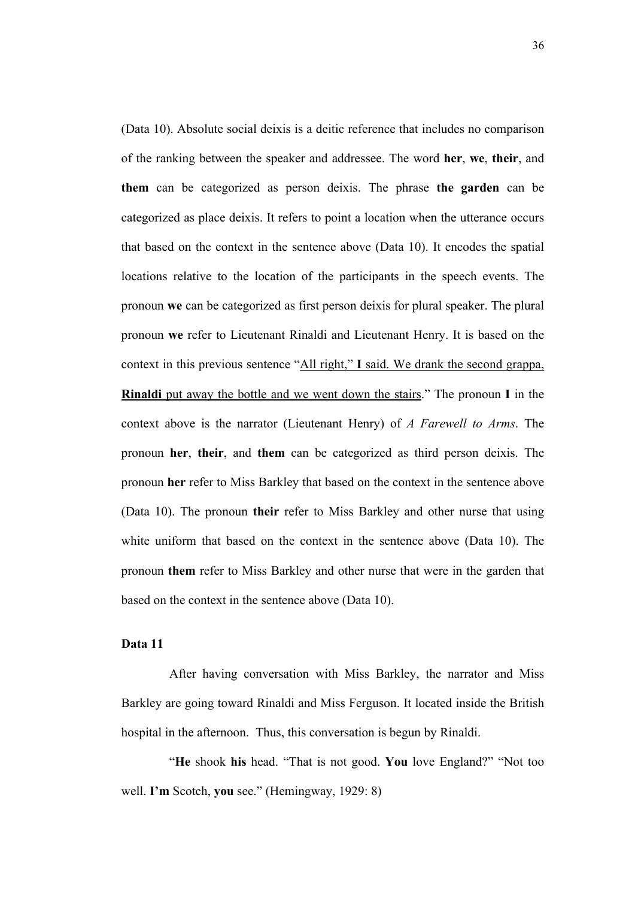(Data 10). Absolute social deixis is a deitic reference that includes no comparison of the ranking between the speaker and addressee. The word **her**, **we**, **their**, and **them** can be categorized as person deixis. The phrase **the garden** can be categorized as place deixis. It refers to point a location when the utterance occurs that based on the context in the sentence above (Data 10). It encodes the spatial locations relative to the location of the participants in the speech events. The pronoun **we** can be categorized as first person deixis for plural speaker. The plural pronoun **we** refer to Lieutenant Rinaldi and Lieutenant Henry. It is based on the context in this previous sentence "All right," **I** said. We drank the second grappa, **Rinaldi** put away the bottle and we went down the stairs." The pronoun **I** in the context above is the narrator (Lieutenant Henry) of *A Farewell to Arms*. The pronoun **her**, **their**, and **them** can be categorized as third person deixis. The pronoun **her** refer to Miss Barkley that based on the context in the sentence above (Data 10). The pronoun **their** refer to Miss Barkley and other nurse that using white uniform that based on the context in the sentence above (Data 10). The pronoun **them** refer to Miss Barkley and other nurse that were in the garden that based on the context in the sentence above (Data 10).

### **Data 11**

After having conversation with Miss Barkley, the narrator and Miss Barkley are going toward Rinaldi and Miss Ferguson. It located inside the British hospital in the afternoon. Thus, this conversation is begun by Rinaldi.

"**He** shook **his** head. "That is not good. **You** love England?" "Not too well. **I'm** Scotch, **you** see." (Hemingway, 1929: 8)

36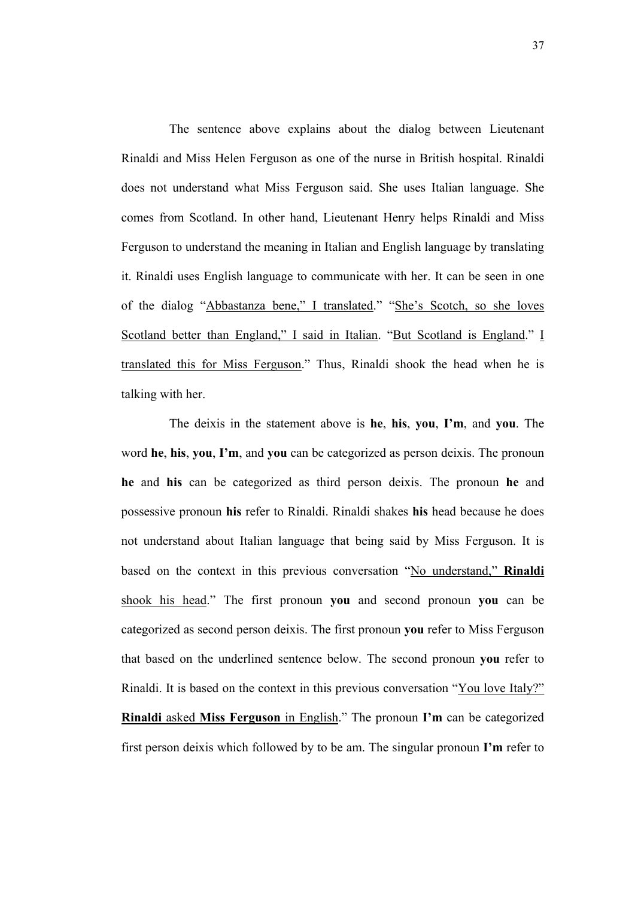The sentence above explains about the dialog between Lieutenant Rinaldi and Miss Helen Ferguson as one of the nurse in British hospital. Rinaldi does not understand what Miss Ferguson said. She uses Italian language. She comes from Scotland. In other hand, Lieutenant Henry helps Rinaldi and Miss Ferguson to understand the meaning in Italian and English language by translating it. Rinaldi uses English language to communicate with her. It can be seen in one of the dialog "Abbastanza bene," I translated." "She's Scotch, so she loves Scotland better than England," I said in Italian. "But Scotland is England." I translated this for Miss Ferguson." Thus, Rinaldi shook the head when he is talking with her.

The deixis in the statement above is **he**, **his**, **you**, **I'm**, and **you**. The word **he**, **his**, **you**, **I'm**, and **you** can be categorized as person deixis. The pronoun **he** and **his** can be categorized as third person deixis. The pronoun **he** and possessive pronoun **his** refer to Rinaldi. Rinaldi shakes **his** head because he does not understand about Italian language that being said by Miss Ferguson. It is based on the context in this previous conversation "No understand," **Rinaldi** shook his head." The first pronoun **you** and second pronoun **you** can be categorized as second person deixis. The first pronoun **you** refer to Miss Ferguson that based on the underlined sentence below. The second pronoun **you** refer to Rinaldi. It is based on the context in this previous conversation "You love Italy?" **Rinaldi** asked **Miss Ferguson** in English." The pronoun **I'm** can be categorized first person deixis which followed by to be am. The singular pronoun **I'm** refer to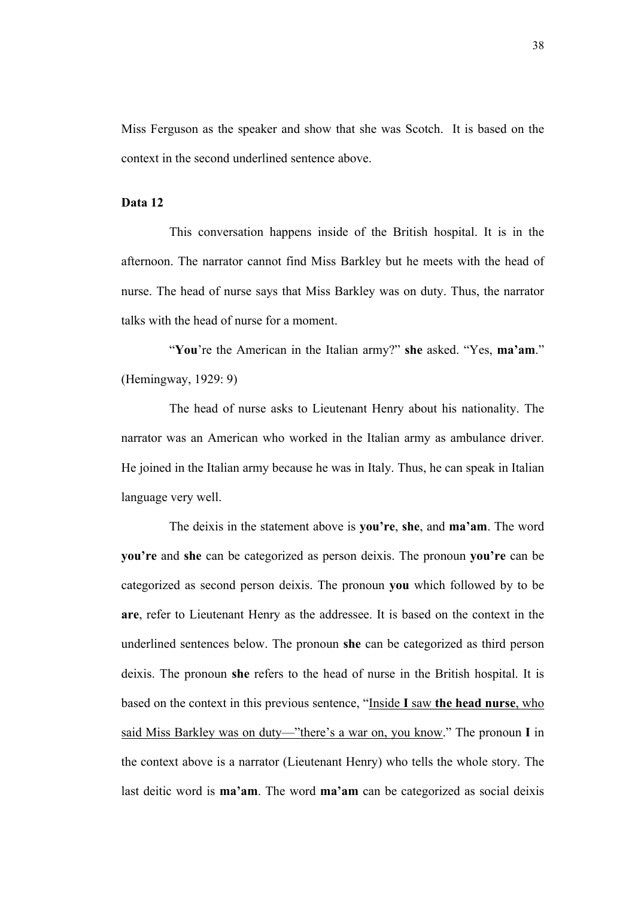Miss Ferguson as the speaker and show that she was Scotch. It is based on the context in the second underlined sentence above.

### **Data 12**

This conversation happens inside of the British hospital. It is in the afternoon. The narrator cannot find Miss Barkley but he meets with the head of nurse. The head of nurse says that Miss Barkley was on duty. Thus, the narrator talks with the head of nurse for a moment.

"**You**'re the American in the Italian army?" **she** asked. "Yes, **ma'am**." (Hemingway, 1929: 9)

The head of nurse asks to Lieutenant Henry about his nationality. The narrator was an American who worked in the Italian army as ambulance driver. He joined in the Italian army because he was in Italy. Thus, he can speak in Italian language very well.

The deixis in the statement above is **you're**, **she**, and **ma'am**. The word **you're** and **she** can be categorized as person deixis. The pronoun **you're** can be categorized as second person deixis. The pronoun **you** which followed by to be **are**, refer to Lieutenant Henry as the addressee. It is based on the context in the underlined sentences below. The pronoun **she** can be categorized as third person deixis. The pronoun **she** refers to the head of nurse in the British hospital. It is based on the context in this previous sentence, "Inside **I** saw **the head nurse**, who said Miss Barkley was on duty—"there's a war on, you know." The pronoun **I** in the context above is a narrator (Lieutenant Henry) who tells the whole story. The last deitic word is **ma'am**. The word **ma'am** can be categorized as social deixis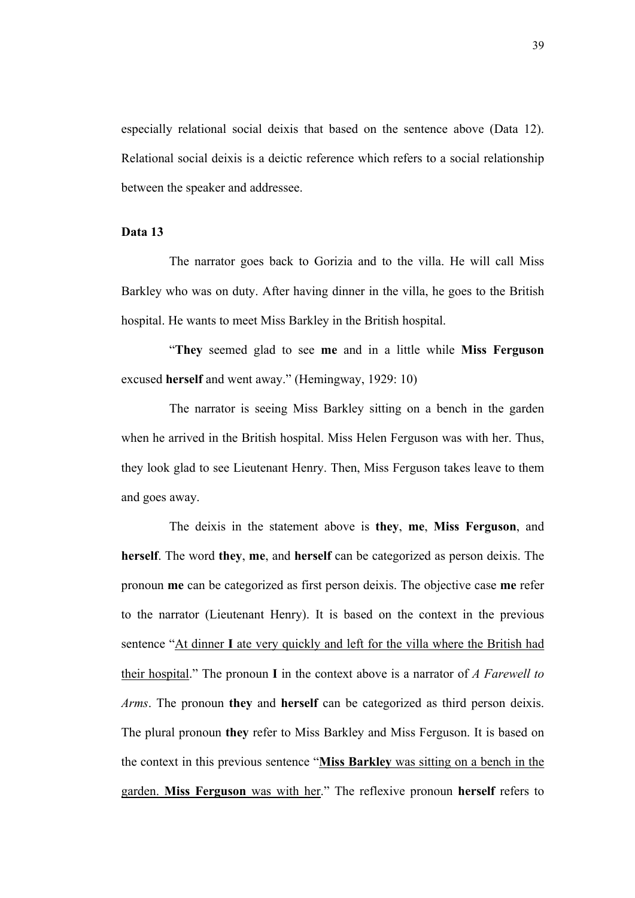especially relational social deixis that based on the sentence above (Data 12). Relational social deixis is a deictic reference which refers to a social relationship between the speaker and addressee.

# **Data 13**

The narrator goes back to Gorizia and to the villa. He will call Miss Barkley who was on duty. After having dinner in the villa, he goes to the British hospital. He wants to meet Miss Barkley in the British hospital.

"**They** seemed glad to see **me** and in a little while **Miss Ferguson** excused **herself** and went away." (Hemingway, 1929: 10)

The narrator is seeing Miss Barkley sitting on a bench in the garden when he arrived in the British hospital. Miss Helen Ferguson was with her. Thus, they look glad to see Lieutenant Henry. Then, Miss Ferguson takes leave to them and goes away.

The deixis in the statement above is **they**, **me**, **Miss Ferguson**, and **herself**. The word **they**, **me**, and **herself** can be categorized as person deixis. The pronoun **me** can be categorized as first person deixis. The objective case **me** refer to the narrator (Lieutenant Henry). It is based on the context in the previous sentence "At dinner **I** ate very quickly and left for the villa where the British had their hospital." The pronoun **I** in the context above is a narrator of *A Farewell to Arms*. The pronoun **they** and **herself** can be categorized as third person deixis. The plural pronoun **they** refer to Miss Barkley and Miss Ferguson. It is based on the context in this previous sentence "**Miss Barkley** was sitting on a bench in the garden. **Miss Ferguson** was with her." The reflexive pronoun **herself** refers to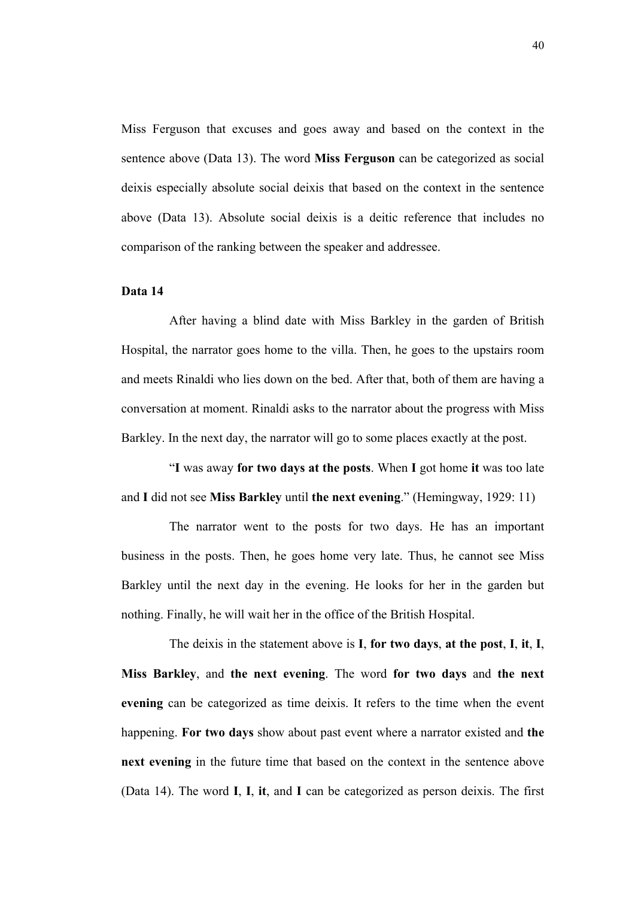Miss Ferguson that excuses and goes away and based on the context in the sentence above (Data 13). The word **Miss Ferguson** can be categorized as social deixis especially absolute social deixis that based on the context in the sentence above (Data 13). Absolute social deixis is a deitic reference that includes no comparison of the ranking between the speaker and addressee.

## **Data 14**

After having a blind date with Miss Barkley in the garden of British Hospital, the narrator goes home to the villa. Then, he goes to the upstairs room and meets Rinaldi who lies down on the bed. After that, both of them are having a conversation at moment. Rinaldi asks to the narrator about the progress with Miss Barkley. In the next day, the narrator will go to some places exactly at the post.

"**I** was away **for two days at the posts**. When **I** got home **it** was too late and **I** did not see **Miss Barkley** until **the next evening**." (Hemingway, 1929: 11)

The narrator went to the posts for two days. He has an important business in the posts. Then, he goes home very late. Thus, he cannot see Miss Barkley until the next day in the evening. He looks for her in the garden but nothing. Finally, he will wait her in the office of the British Hospital.

The deixis in the statement above is **I**, **for two days**, **at the post**, **I**, **it**, **I**, **Miss Barkley**, and **the next evening**. The word **for two days** and **the next evening** can be categorized as time deixis. It refers to the time when the event happening. **For two days** show about past event where a narrator existed and **the next evening** in the future time that based on the context in the sentence above (Data 14). The word **I**, **I**, **it**, and **I** can be categorized as person deixis. The first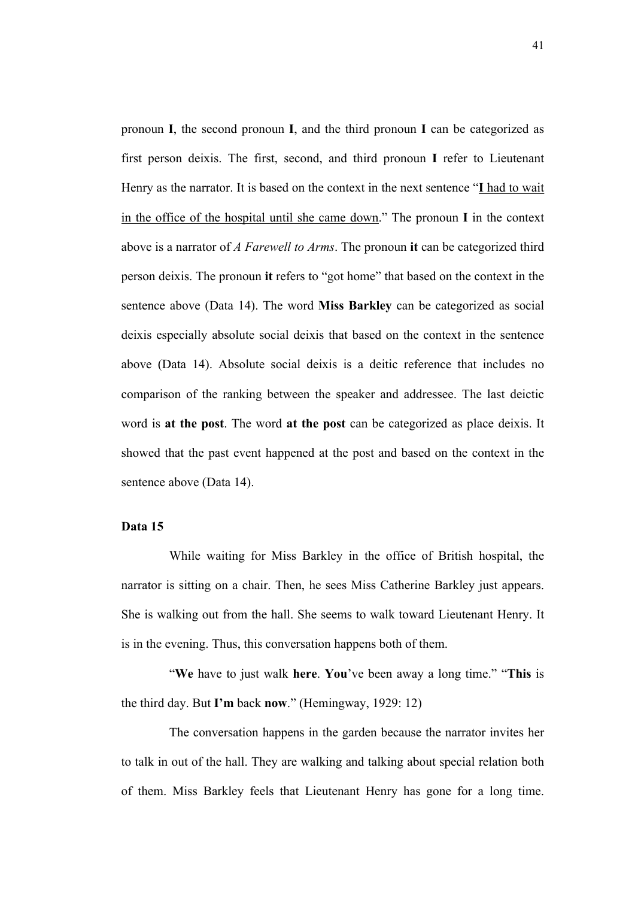pronoun **I**, the second pronoun **I**, and the third pronoun **I** can be categorized as first person deixis. The first, second, and third pronoun **I** refer to Lieutenant Henry as the narrator. It is based on the context in the next sentence "**I** had to wait in the office of the hospital until she came down." The pronoun **I** in the context above is a narrator of *A Farewell to Arms*. The pronoun **it** can be categorized third person deixis. The pronoun **it** refers to "got home" that based on the context in the sentence above (Data 14). The word **Miss Barkley** can be categorized as social deixis especially absolute social deixis that based on the context in the sentence above (Data 14). Absolute social deixis is a deitic reference that includes no comparison of the ranking between the speaker and addressee. The last deictic word is **at the post**. The word **at the post** can be categorized as place deixis. It showed that the past event happened at the post and based on the context in the sentence above (Data 14).

## **Data 15**

While waiting for Miss Barkley in the office of British hospital, the narrator is sitting on a chair. Then, he sees Miss Catherine Barkley just appears. She is walking out from the hall. She seems to walk toward Lieutenant Henry. It is in the evening. Thus, this conversation happens both of them.

"**We** have to just walk **here**. **You**'ve been away a long time." "**This** is the third day. But **I'm** back **now**." (Hemingway, 1929: 12)

The conversation happens in the garden because the narrator invites her to talk in out of the hall. They are walking and talking about special relation both of them. Miss Barkley feels that Lieutenant Henry has gone for a long time.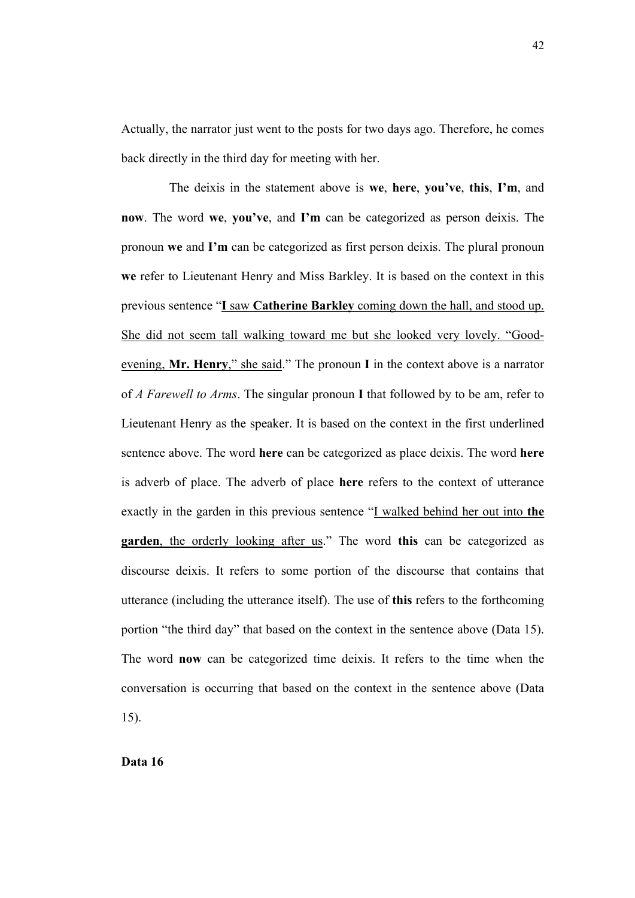Actually, the narrator just went to the posts for two days ago. Therefore, he comes back directly in the third day for meeting with her.

The deixis in the statement above is **we**, **here**, **you've**, **this**, **I'm**, and **now**. The word **we**, **you've**, and **I'm** can be categorized as person deixis. The pronoun **we** and **I'm** can be categorized as first person deixis. The plural pronoun **we** refer to Lieutenant Henry and Miss Barkley. It is based on the context in this previous sentence "**I** saw **Catherine Barkley** coming down the hall, and stood up. She did not seem tall walking toward me but she looked very lovely. "Goodevening, **Mr. Henry**," she said." The pronoun **I** in the context above is a narrator of *A Farewell to Arms*. The singular pronoun **I** that followed by to be am, refer to Lieutenant Henry as the speaker. It is based on the context in the first underlined sentence above. The word **here** can be categorized as place deixis. The word **here** is adverb of place. The adverb of place **here** refers to the context of utterance exactly in the garden in this previous sentence "I walked behind her out into **the garden**, the orderly looking after us." The word **this** can be categorized as discourse deixis. It refers to some portion of the discourse that contains that utterance (including the utterance itself). The use of **this** refers to the forthcoming portion "the third day" that based on the context in the sentence above (Data 15). The word **now** can be categorized time deixis. It refers to the time when the conversation is occurring that based on the context in the sentence above (Data 15).

**Data 16**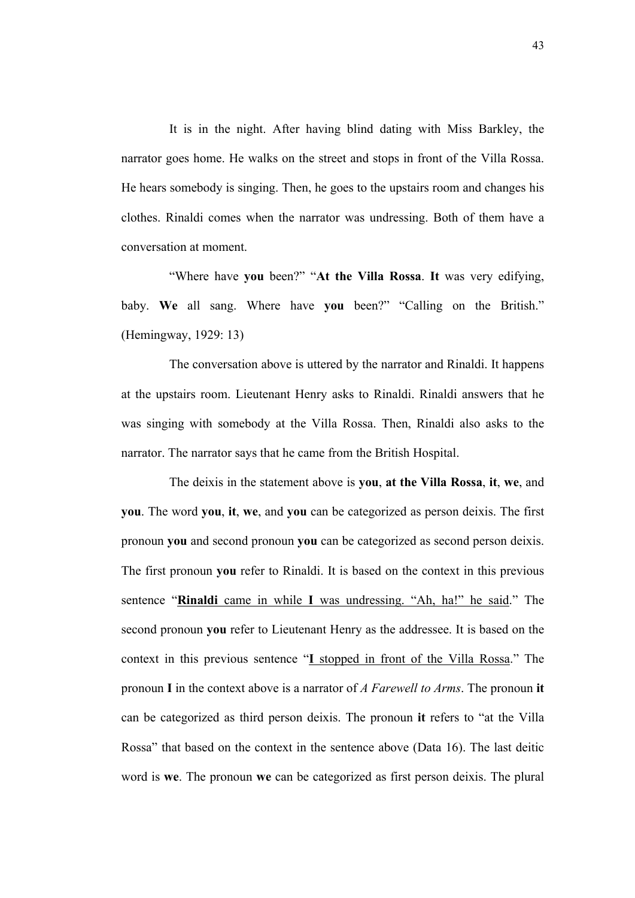It is in the night. After having blind dating with Miss Barkley, the narrator goes home. He walks on the street and stops in front of the Villa Rossa. He hears somebody is singing. Then, he goes to the upstairs room and changes his clothes. Rinaldi comes when the narrator was undressing. Both of them have a conversation at moment.

"Where have **you** been?" "**At the Villa Rossa**. **It** was very edifying, baby. **We** all sang. Where have **you** been?" "Calling on the British." (Hemingway, 1929: 13)

The conversation above is uttered by the narrator and Rinaldi. It happens at the upstairs room. Lieutenant Henry asks to Rinaldi. Rinaldi answers that he was singing with somebody at the Villa Rossa. Then, Rinaldi also asks to the narrator. The narrator says that he came from the British Hospital.

The deixis in the statement above is **you**, **at the Villa Rossa**, **it**, **we**, and **you**. The word **you**, **it**, **we**, and **you** can be categorized as person deixis. The first pronoun **you** and second pronoun **you** can be categorized as second person deixis. The first pronoun **you** refer to Rinaldi. It is based on the context in this previous sentence "**Rinaldi** came in while **I** was undressing. "Ah, ha!" he said." The second pronoun **you** refer to Lieutenant Henry as the addressee. It is based on the context in this previous sentence "**I** stopped in front of the Villa Rossa." The pronoun **I** in the context above is a narrator of *A Farewell to Arms*. The pronoun **it** can be categorized as third person deixis. The pronoun **it** refers to "at the Villa Rossa" that based on the context in the sentence above (Data 16). The last deitic word is **we**. The pronoun **we** can be categorized as first person deixis. The plural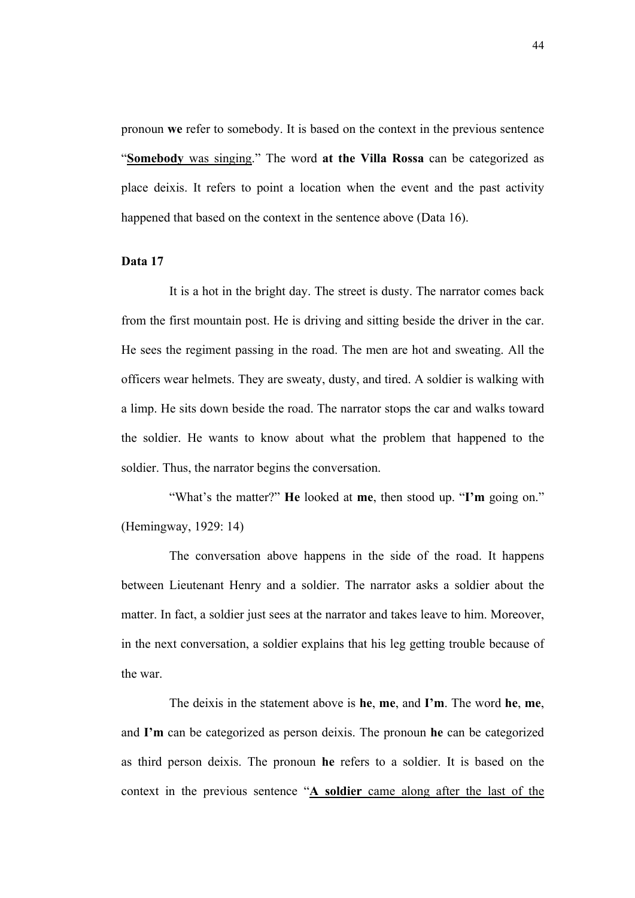pronoun **we** refer to somebody. It is based on the context in the previous sentence "**Somebody** was singing." The word **at the Villa Rossa** can be categorized as place deixis. It refers to point a location when the event and the past activity happened that based on the context in the sentence above (Data 16).

## **Data 17**

It is a hot in the bright day. The street is dusty. The narrator comes back from the first mountain post. He is driving and sitting beside the driver in the car. He sees the regiment passing in the road. The men are hot and sweating. All the officers wear helmets. They are sweaty, dusty, and tired. A soldier is walking with a limp. He sits down beside the road. The narrator stops the car and walks toward the soldier. He wants to know about what the problem that happened to the soldier. Thus, the narrator begins the conversation.

"What's the matter?" **He** looked at **me**, then stood up. "**I'm** going on." (Hemingway, 1929: 14)

The conversation above happens in the side of the road. It happens between Lieutenant Henry and a soldier. The narrator asks a soldier about the matter. In fact, a soldier just sees at the narrator and takes leave to him. Moreover, in the next conversation, a soldier explains that his leg getting trouble because of the war.

The deixis in the statement above is **he**, **me**, and **I'm**. The word **he**, **me**, and **I'm** can be categorized as person deixis. The pronoun **he** can be categorized as third person deixis. The pronoun **he** refers to a soldier. It is based on the context in the previous sentence "**A soldier** came along after the last of the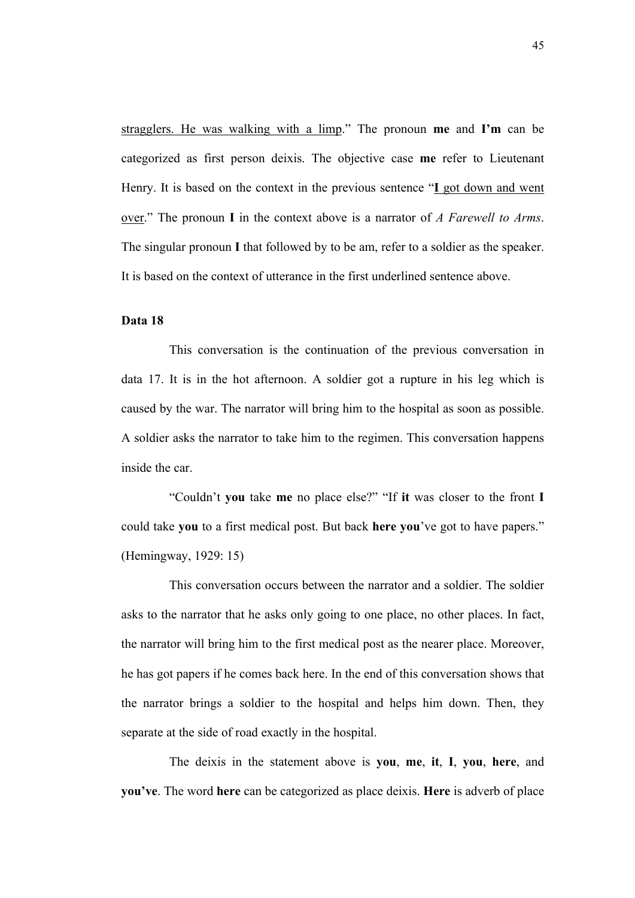stragglers. He was walking with a limp." The pronoun **me** and **I'm** can be categorized as first person deixis. The objective case **me** refer to Lieutenant Henry. It is based on the context in the previous sentence "**I** got down and went over." The pronoun **I** in the context above is a narrator of *A Farewell to Arms*. The singular pronoun **I** that followed by to be am, refer to a soldier as the speaker. It is based on the context of utterance in the first underlined sentence above.

# **Data 18**

This conversation is the continuation of the previous conversation in data 17. It is in the hot afternoon. A soldier got a rupture in his leg which is caused by the war. The narrator will bring him to the hospital as soon as possible. A soldier asks the narrator to take him to the regimen. This conversation happens inside the car.

"Couldn't **you** take **me** no place else?" "If **it** was closer to the front **I** could take **you** to a first medical post. But back **here you**'ve got to have papers." (Hemingway, 1929: 15)

This conversation occurs between the narrator and a soldier. The soldier asks to the narrator that he asks only going to one place, no other places. In fact, the narrator will bring him to the first medical post as the nearer place. Moreover, he has got papers if he comes back here. In the end of this conversation shows that the narrator brings a soldier to the hospital and helps him down. Then, they separate at the side of road exactly in the hospital.

The deixis in the statement above is **you**, **me**, **it**, **I**, **you**, **here**, and **you've**. The word **here** can be categorized as place deixis. **Here** is adverb of place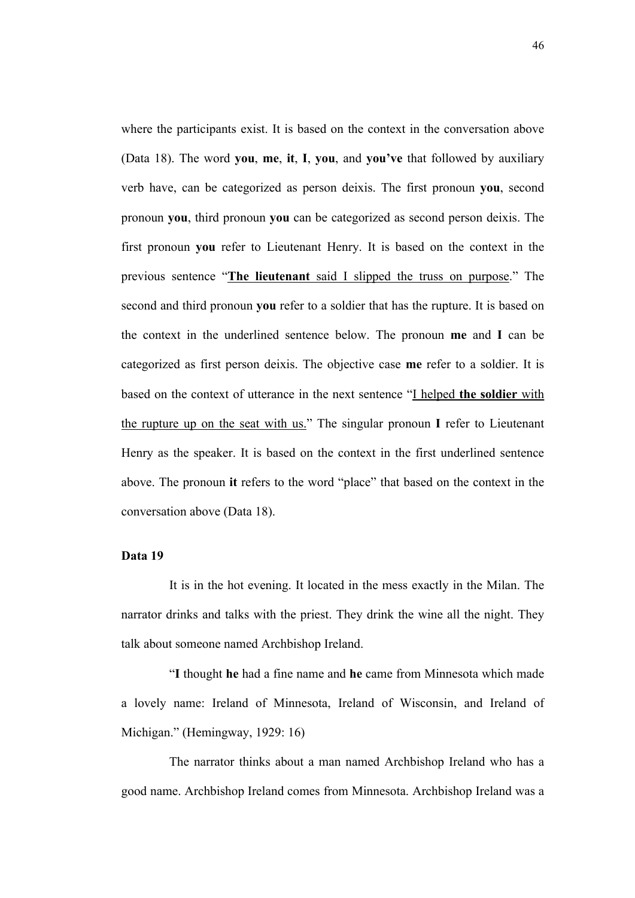where the participants exist. It is based on the context in the conversation above (Data 18). The word **you**, **me**, **it**, **I**, **you**, and **you've** that followed by auxiliary verb have, can be categorized as person deixis. The first pronoun **you**, second pronoun **you**, third pronoun **you** can be categorized as second person deixis. The first pronoun **you** refer to Lieutenant Henry. It is based on the context in the previous sentence "**The lieutenant** said I slipped the truss on purpose." The second and third pronoun **you** refer to a soldier that has the rupture. It is based on the context in the underlined sentence below. The pronoun **me** and **I** can be categorized as first person deixis. The objective case **me** refer to a soldier. It is based on the context of utterance in the next sentence "I helped **the soldier** with the rupture up on the seat with us." The singular pronoun **I** refer to Lieutenant Henry as the speaker. It is based on the context in the first underlined sentence above. The pronoun **it** refers to the word "place" that based on the context in the conversation above (Data 18).

## **Data 19**

It is in the hot evening. It located in the mess exactly in the Milan. The narrator drinks and talks with the priest. They drink the wine all the night. They talk about someone named Archbishop Ireland.

"**I** thought **he** had a fine name and **he** came from Minnesota which made a lovely name: Ireland of Minnesota, Ireland of Wisconsin, and Ireland of Michigan." (Hemingway, 1929: 16)

The narrator thinks about a man named Archbishop Ireland who has a good name. Archbishop Ireland comes from Minnesota. Archbishop Ireland was a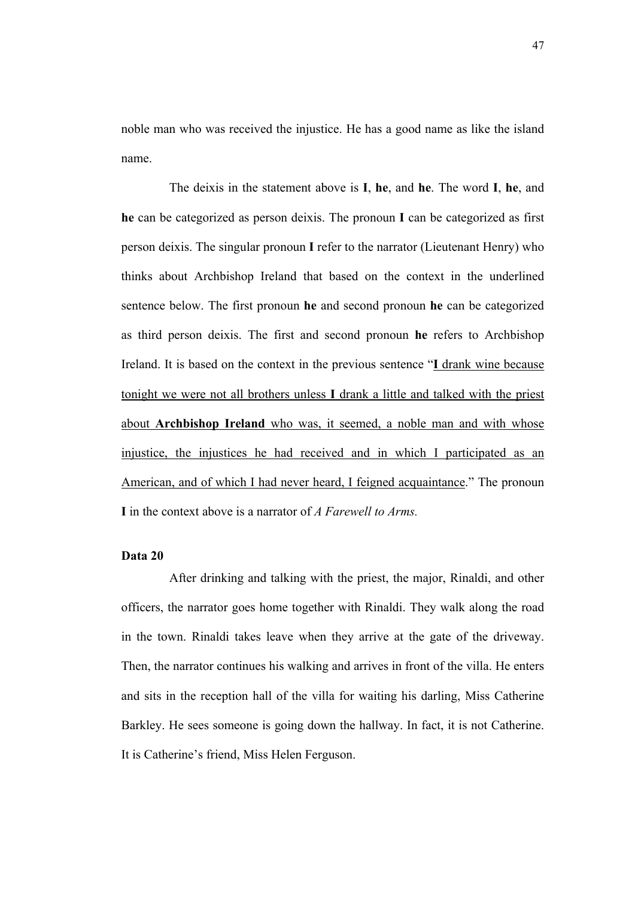noble man who was received the injustice. He has a good name as like the island name.

The deixis in the statement above is **I**, **he**, and **he**. The word **I**, **he**, and **he** can be categorized as person deixis. The pronoun **I** can be categorized as first person deixis. The singular pronoun **I** refer to the narrator (Lieutenant Henry) who thinks about Archbishop Ireland that based on the context in the underlined sentence below. The first pronoun **he** and second pronoun **he** can be categorized as third person deixis. The first and second pronoun **he** refers to Archbishop Ireland. It is based on the context in the previous sentence "**I** drank wine because tonight we were not all brothers unless **I** drank a little and talked with the priest about **Archbishop Ireland** who was, it seemed, a noble man and with whose injustice, the injustices he had received and in which I participated as an American, and of which I had never heard, I feigned acquaintance." The pronoun **I** in the context above is a narrator of *A Farewell to Arms.*

# **Data 20**

After drinking and talking with the priest, the major, Rinaldi, and other officers, the narrator goes home together with Rinaldi. They walk along the road in the town. Rinaldi takes leave when they arrive at the gate of the driveway. Then, the narrator continues his walking and arrives in front of the villa. He enters and sits in the reception hall of the villa for waiting his darling, Miss Catherine Barkley. He sees someone is going down the hallway. In fact, it is not Catherine. It is Catherine's friend, Miss Helen Ferguson.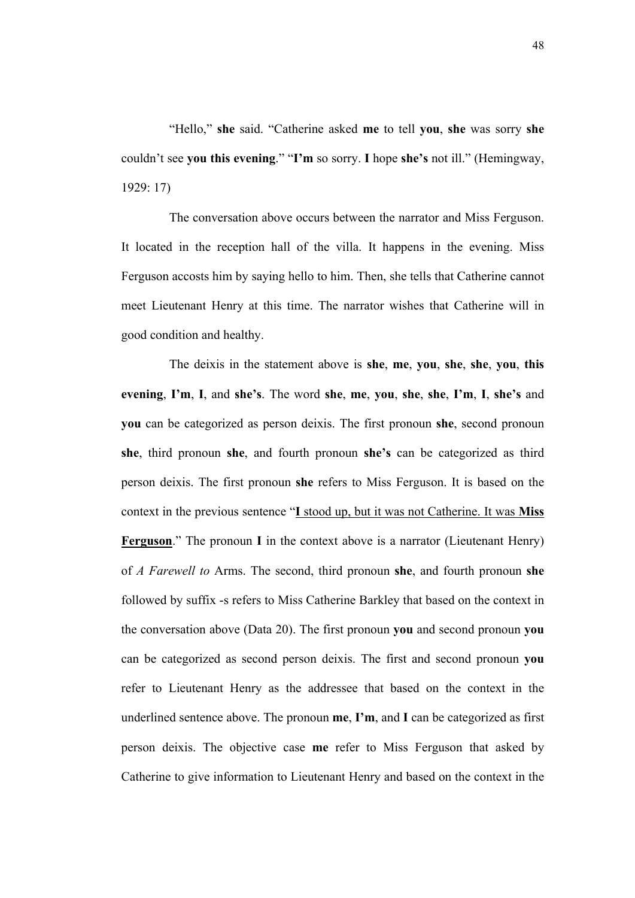"Hello," **she** said. "Catherine asked **me** to tell **you**, **she** was sorry **she** couldn't see **you this evening**." "**I'm** so sorry. **I** hope **she's** not ill." (Hemingway, 1929: 17)

The conversation above occurs between the narrator and Miss Ferguson. It located in the reception hall of the villa. It happens in the evening. Miss Ferguson accosts him by saying hello to him. Then, she tells that Catherine cannot meet Lieutenant Henry at this time. The narrator wishes that Catherine will in good condition and healthy.

The deixis in the statement above is **she**, **me**, **you**, **she**, **she**, **you**, **this evening**, **I'm**, **I**, and **she's**. The word **she**, **me**, **you**, **she**, **she**, **I'm**, **I**, **she's** and **you** can be categorized as person deixis. The first pronoun **she**, second pronoun **she**, third pronoun **she**, and fourth pronoun **she's** can be categorized as third person deixis. The first pronoun **she** refers to Miss Ferguson. It is based on the context in the previous sentence "**I** stood up, but it was not Catherine. It was **Miss Ferguson**." The pronoun **I** in the context above is a narrator (Lieutenant Henry) of *A Farewell to* Arms. The second, third pronoun **she**, and fourth pronoun **she** followed by suffix -s refers to Miss Catherine Barkley that based on the context in the conversation above (Data 20). The first pronoun **you** and second pronoun **you** can be categorized as second person deixis. The first and second pronoun **you** refer to Lieutenant Henry as the addressee that based on the context in the underlined sentence above. The pronoun **me**, **I'm**, and **I** can be categorized as first person deixis. The objective case **me** refer to Miss Ferguson that asked by Catherine to give information to Lieutenant Henry and based on the context in the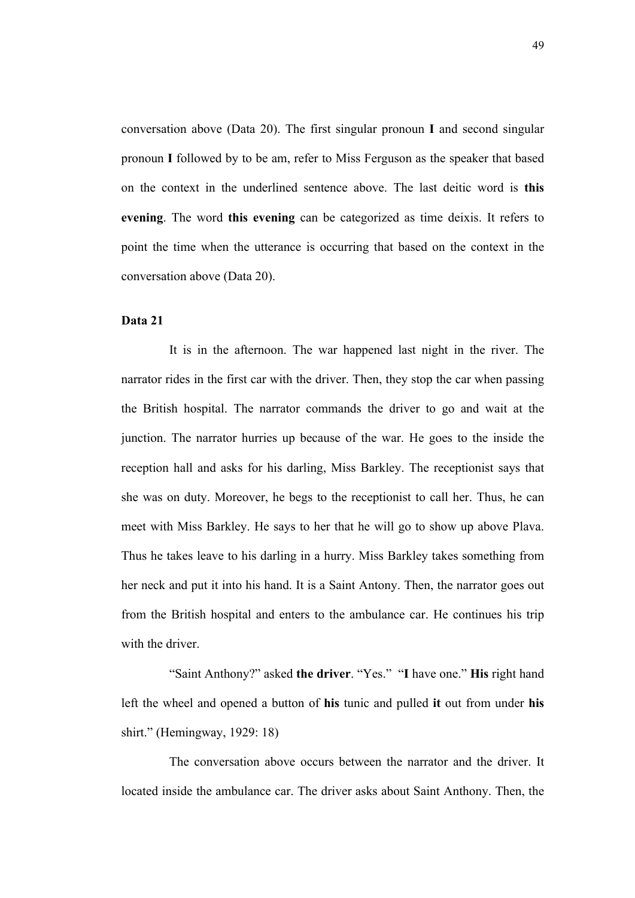conversation above (Data 20). The first singular pronoun **I** and second singular pronoun **I** followed by to be am, refer to Miss Ferguson as the speaker that based on the context in the underlined sentence above. The last deitic word is **this evening**. The word **this evening** can be categorized as time deixis. It refers to point the time when the utterance is occurring that based on the context in the conversation above (Data 20).

# **Data 21**

It is in the afternoon. The war happened last night in the river. The narrator rides in the first car with the driver. Then, they stop the car when passing the British hospital. The narrator commands the driver to go and wait at the junction. The narrator hurries up because of the war. He goes to the inside the reception hall and asks for his darling, Miss Barkley. The receptionist says that she was on duty. Moreover, he begs to the receptionist to call her. Thus, he can meet with Miss Barkley. He says to her that he will go to show up above Plava. Thus he takes leave to his darling in a hurry. Miss Barkley takes something from her neck and put it into his hand. It is a Saint Antony. Then, the narrator goes out from the British hospital and enters to the ambulance car. He continues his trip with the driver

"Saint Anthony?" asked **the driver**. "Yes." "**I** have one." **His** right hand left the wheel and opened a button of **his** tunic and pulled **it** out from under **his** shirt." (Hemingway, 1929: 18)

The conversation above occurs between the narrator and the driver. It located inside the ambulance car. The driver asks about Saint Anthony. Then, the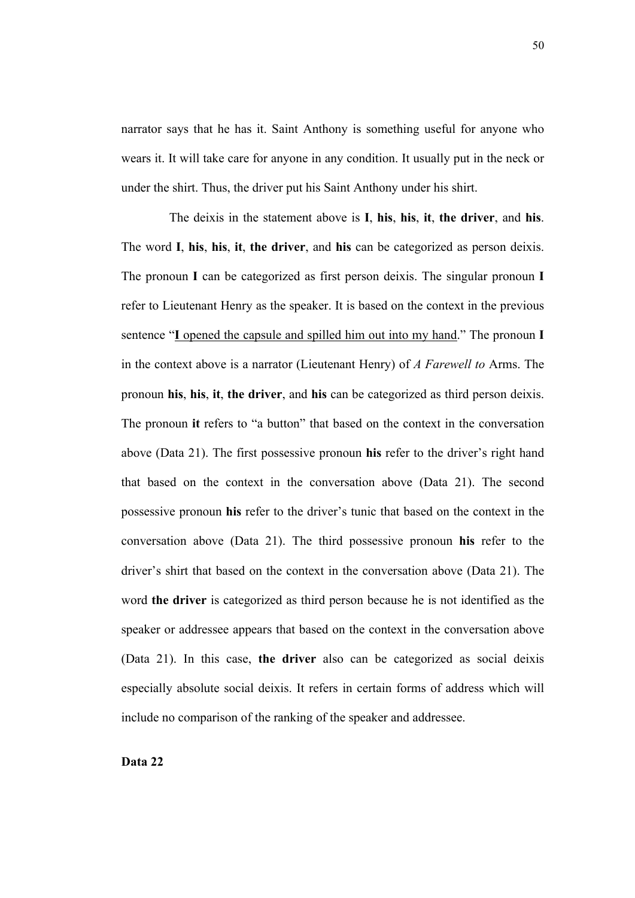narrator says that he has it. Saint Anthony is something useful for anyone who wears it. It will take care for anyone in any condition. It usually put in the neck or under the shirt. Thus, the driver put his Saint Anthony under his shirt.

The deixis in the statement above is **I**, **his**, **his**, **it**, **the driver**, and **his**. The word **I**, **his**, **his**, **it**, **the driver**, and **his** can be categorized as person deixis. The pronoun **I** can be categorized as first person deixis. The singular pronoun **I** refer to Lieutenant Henry as the speaker. It is based on the context in the previous sentence "**I** opened the capsule and spilled him out into my hand." The pronoun **I** in the context above is a narrator (Lieutenant Henry) of *A Farewell to* Arms. The pronoun **his**, **his**, **it**, **the driver**, and **his** can be categorized as third person deixis. The pronoun **it** refers to "a button" that based on the context in the conversation above (Data 21). The first possessive pronoun **his** refer to the driver's right hand that based on the context in the conversation above (Data 21). The second possessive pronoun **his** refer to the driver's tunic that based on the context in the conversation above (Data 21). The third possessive pronoun **his** refer to the driver's shirt that based on the context in the conversation above (Data 21). The word **the driver** is categorized as third person because he is not identified as the speaker or addressee appears that based on the context in the conversation above (Data 21). In this case, **the driver** also can be categorized as social deixis especially absolute social deixis. It refers in certain forms of address which will include no comparison of the ranking of the speaker and addressee.

## **Data 22**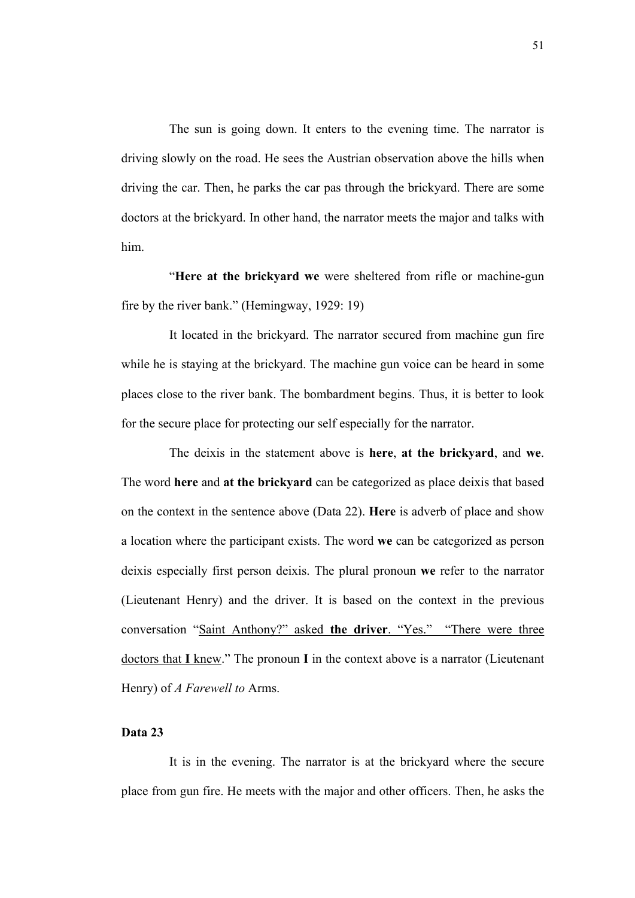The sun is going down. It enters to the evening time. The narrator is driving slowly on the road. He sees the Austrian observation above the hills when driving the car. Then, he parks the car pas through the brickyard. There are some doctors at the brickyard. In other hand, the narrator meets the major and talks with him.

"**Here at the brickyard we** were sheltered from rifle or machine-gun fire by the river bank." (Hemingway, 1929: 19)

It located in the brickyard. The narrator secured from machine gun fire while he is staying at the brickyard. The machine gun voice can be heard in some places close to the river bank. The bombardment begins. Thus, it is better to look for the secure place for protecting our self especially for the narrator.

The deixis in the statement above is **here**, **at the brickyard**, and **we**. The word **here** and **at the brickyard** can be categorized as place deixis that based on the context in the sentence above (Data 22). **Here** is adverb of place and show a location where the participant exists. The word **we** can be categorized as person deixis especially first person deixis. The plural pronoun **we** refer to the narrator (Lieutenant Henry) and the driver. It is based on the context in the previous conversation "Saint Anthony?" asked **the driver**. "Yes." "There were three doctors that **I** knew." The pronoun **I** in the context above is a narrator (Lieutenant Henry) of *A Farewell to* Arms.

# **Data 23**

It is in the evening. The narrator is at the brickyard where the secure place from gun fire. He meets with the major and other officers. Then, he asks the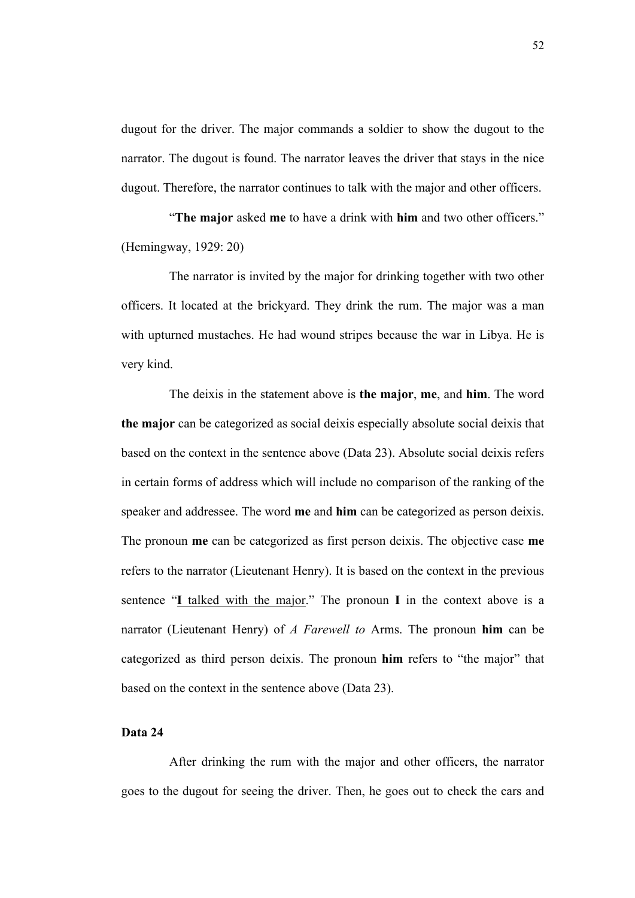dugout for the driver. The major commands a soldier to show the dugout to the narrator. The dugout is found. The narrator leaves the driver that stays in the nice dugout. Therefore, the narrator continues to talk with the major and other officers.

"**The major** asked **me** to have a drink with **him** and two other officers." (Hemingway, 1929: 20)

The narrator is invited by the major for drinking together with two other officers. It located at the brickyard. They drink the rum. The major was a man with upturned mustaches. He had wound stripes because the war in Libya. He is very kind.

The deixis in the statement above is **the major**, **me**, and **him**. The word **the major** can be categorized as social deixis especially absolute social deixis that based on the context in the sentence above (Data 23). Absolute social deixis refers in certain forms of address which will include no comparison of the ranking of the speaker and addressee. The word **me** and **him** can be categorized as person deixis. The pronoun **me** can be categorized as first person deixis. The objective case **me** refers to the narrator (Lieutenant Henry). It is based on the context in the previous sentence "**I** talked with the major." The pronoun **I** in the context above is a narrator (Lieutenant Henry) of *A Farewell to* Arms. The pronoun **him** can be categorized as third person deixis. The pronoun **him** refers to "the major" that based on the context in the sentence above (Data 23).

# **Data 24**

After drinking the rum with the major and other officers, the narrator goes to the dugout for seeing the driver. Then, he goes out to check the cars and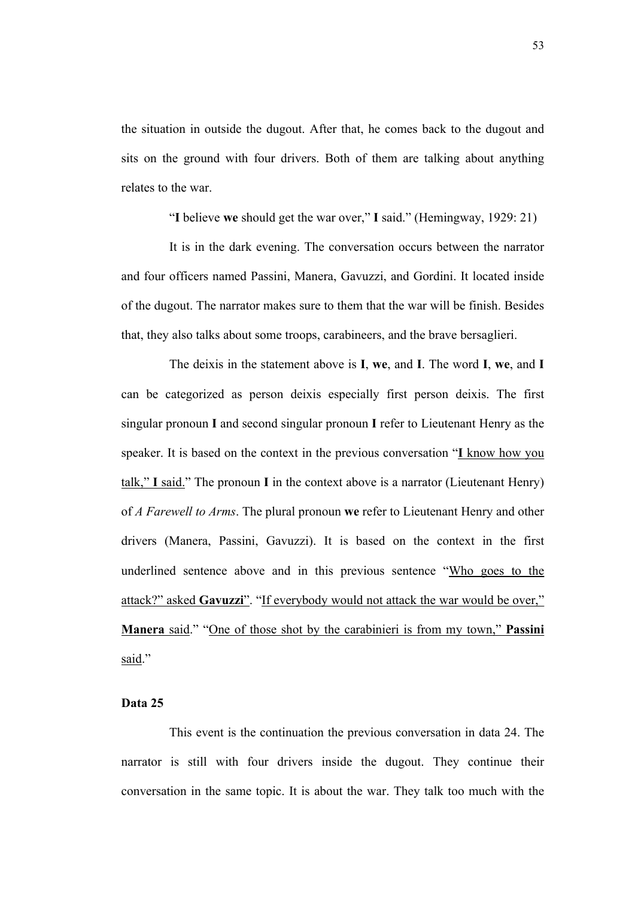the situation in outside the dugout. After that, he comes back to the dugout and sits on the ground with four drivers. Both of them are talking about anything relates to the war.

"**I** believe **we** should get the war over," **I** said." (Hemingway, 1929: 21)

It is in the dark evening. The conversation occurs between the narrator and four officers named Passini, Manera, Gavuzzi, and Gordini. It located inside of the dugout. The narrator makes sure to them that the war will be finish. Besides that, they also talks about some troops, carabineers, and the brave bersaglieri.

The deixis in the statement above is **I**, **we**, and **I**. The word **I**, **we**, and **I** can be categorized as person deixis especially first person deixis. The first singular pronoun **I** and second singular pronoun **I** refer to Lieutenant Henry as the speaker. It is based on the context in the previous conversation "**I** know how you talk," **I** said." The pronoun **I** in the context above is a narrator (Lieutenant Henry) of *A Farewell to Arms*. The plural pronoun **we** refer to Lieutenant Henry and other drivers (Manera, Passini, Gavuzzi). It is based on the context in the first underlined sentence above and in this previous sentence "Who goes to the attack?" asked **Gavuzzi**". "If everybody would not attack the war would be over," **Manera** said." "One of those shot by the carabinieri is from my town," **Passini** said."

# **Data 25**

This event is the continuation the previous conversation in data 24. The narrator is still with four drivers inside the dugout. They continue their conversation in the same topic. It is about the war. They talk too much with the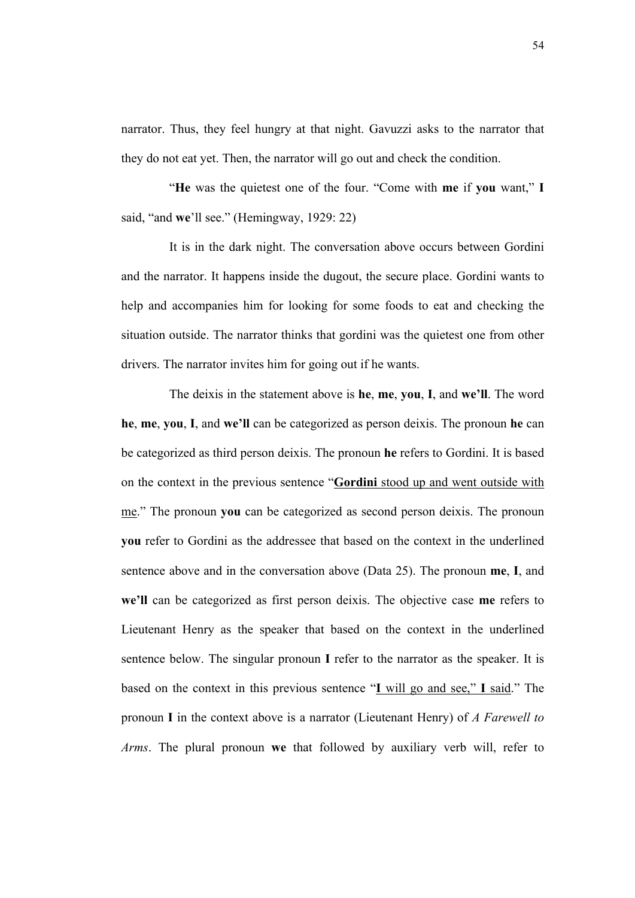narrator. Thus, they feel hungry at that night. Gavuzzi asks to the narrator that they do not eat yet. Then, the narrator will go out and check the condition.

"**He** was the quietest one of the four. "Come with **me** if **you** want," **I** said, "and **we**'ll see." (Hemingway, 1929: 22)

It is in the dark night. The conversation above occurs between Gordini and the narrator. It happens inside the dugout, the secure place. Gordini wants to help and accompanies him for looking for some foods to eat and checking the situation outside. The narrator thinks that gordini was the quietest one from other drivers. The narrator invites him for going out if he wants.

The deixis in the statement above is **he**, **me**, **you**, **I**, and **we'll**. The word **he**, **me**, **you**, **I**, and **we'll** can be categorized as person deixis. The pronoun **he** can be categorized as third person deixis. The pronoun **he** refers to Gordini. It is based on the context in the previous sentence "**Gordini** stood up and went outside with me." The pronoun **you** can be categorized as second person deixis. The pronoun **you** refer to Gordini as the addressee that based on the context in the underlined sentence above and in the conversation above (Data 25). The pronoun **me**, **I**, and **we'll** can be categorized as first person deixis. The objective case **me** refers to Lieutenant Henry as the speaker that based on the context in the underlined sentence below. The singular pronoun **I** refer to the narrator as the speaker. It is based on the context in this previous sentence "**I** will go and see," **I** said." The pronoun **I** in the context above is a narrator (Lieutenant Henry) of *A Farewell to Arms*. The plural pronoun **we** that followed by auxiliary verb will, refer to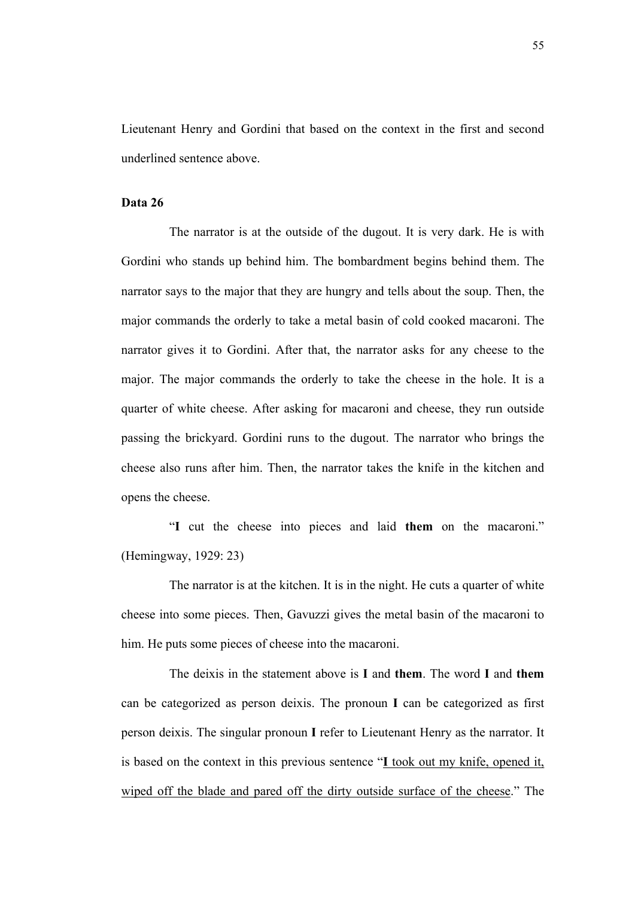Lieutenant Henry and Gordini that based on the context in the first and second underlined sentence above.

### **Data 26**

The narrator is at the outside of the dugout. It is very dark. He is with Gordini who stands up behind him. The bombardment begins behind them. The narrator says to the major that they are hungry and tells about the soup. Then, the major commands the orderly to take a metal basin of cold cooked macaroni. The narrator gives it to Gordini. After that, the narrator asks for any cheese to the major. The major commands the orderly to take the cheese in the hole. It is a quarter of white cheese. After asking for macaroni and cheese, they run outside passing the brickyard. Gordini runs to the dugout. The narrator who brings the cheese also runs after him. Then, the narrator takes the knife in the kitchen and opens the cheese.

"**I** cut the cheese into pieces and laid **them** on the macaroni." (Hemingway, 1929: 23)

The narrator is at the kitchen. It is in the night. He cuts a quarter of white cheese into some pieces. Then, Gavuzzi gives the metal basin of the macaroni to him. He puts some pieces of cheese into the macaroni.

The deixis in the statement above is **I** and **them**. The word **I** and **them** can be categorized as person deixis. The pronoun **I** can be categorized as first person deixis. The singular pronoun **I** refer to Lieutenant Henry as the narrator. It is based on the context in this previous sentence "**I** took out my knife, opened it, wiped off the blade and pared off the dirty outside surface of the cheese." The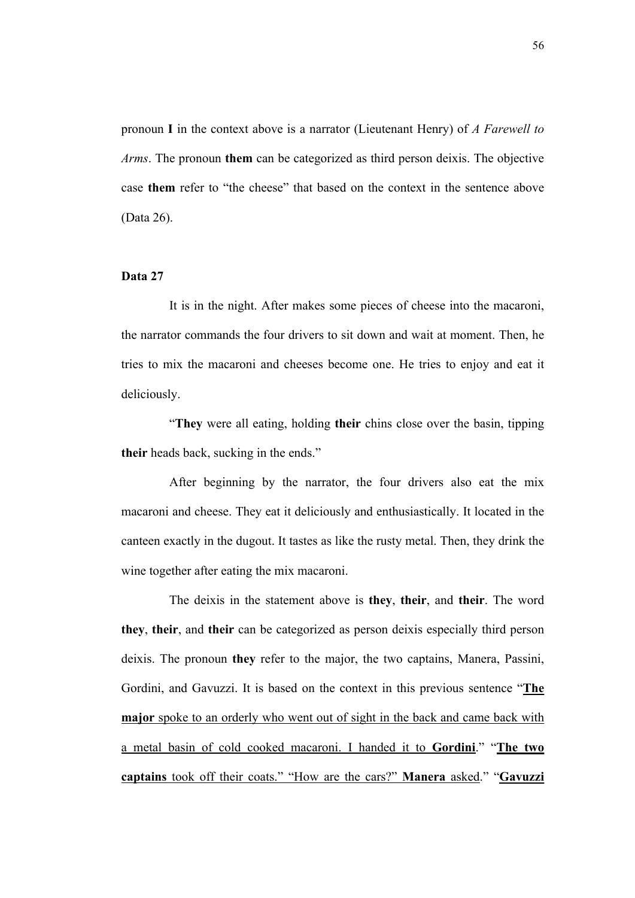pronoun **I** in the context above is a narrator (Lieutenant Henry) of *A Farewell to Arms*. The pronoun **them** can be categorized as third person deixis. The objective case **them** refer to "the cheese" that based on the context in the sentence above (Data 26).

## **Data 27**

It is in the night. After makes some pieces of cheese into the macaroni, the narrator commands the four drivers to sit down and wait at moment. Then, he tries to mix the macaroni and cheeses become one. He tries to enjoy and eat it deliciously.

"**They** were all eating, holding **their** chins close over the basin, tipping **their** heads back, sucking in the ends."

After beginning by the narrator, the four drivers also eat the mix macaroni and cheese. They eat it deliciously and enthusiastically. It located in the canteen exactly in the dugout. It tastes as like the rusty metal. Then, they drink the wine together after eating the mix macaroni.

The deixis in the statement above is **they**, **their**, and **their**. The word **they**, **their**, and **their** can be categorized as person deixis especially third person deixis. The pronoun **they** refer to the major, the two captains, Manera, Passini, Gordini, and Gavuzzi. It is based on the context in this previous sentence "**The major** spoke to an orderly who went out of sight in the back and came back with a metal basin of cold cooked macaroni. I handed it to **Gordini**." "**The two captains** took off their coats." "How are the cars?" **Manera** asked." "**Gavuzzi**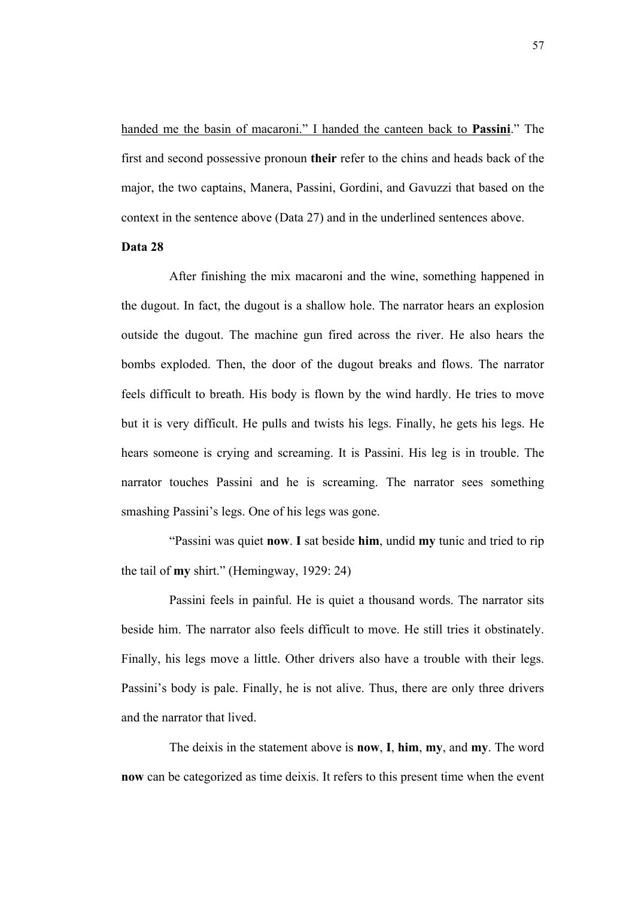handed me the basin of macaroni." I handed the canteen back to **Passini**." The first and second possessive pronoun **their** refer to the chins and heads back of the major, the two captains, Manera, Passini, Gordini, and Gavuzzi that based on the context in the sentence above (Data 27) and in the underlined sentences above.

# **Data 28**

After finishing the mix macaroni and the wine, something happened in the dugout. In fact, the dugout is a shallow hole. The narrator hears an explosion outside the dugout. The machine gun fired across the river. He also hears the bombs exploded. Then, the door of the dugout breaks and flows. The narrator feels difficult to breath. His body is flown by the wind hardly. He tries to move but it is very difficult. He pulls and twists his legs. Finally, he gets his legs. He hears someone is crying and screaming. It is Passini. His leg is in trouble. The narrator touches Passini and he is screaming. The narrator sees something smashing Passini's legs. One of his legs was gone.

"Passini was quiet **now**. **I** sat beside **him**, undid **my** tunic and tried to rip the tail of **my** shirt." (Hemingway, 1929: 24)

Passini feels in painful. He is quiet a thousand words. The narrator sits beside him. The narrator also feels difficult to move. He still tries it obstinately. Finally, his legs move a little. Other drivers also have a trouble with their legs. Passini's body is pale. Finally, he is not alive. Thus, there are only three drivers and the narrator that lived.

The deixis in the statement above is **now**, **I**, **him**, **my**, and **my**. The word **now** can be categorized as time deixis. It refers to this present time when the event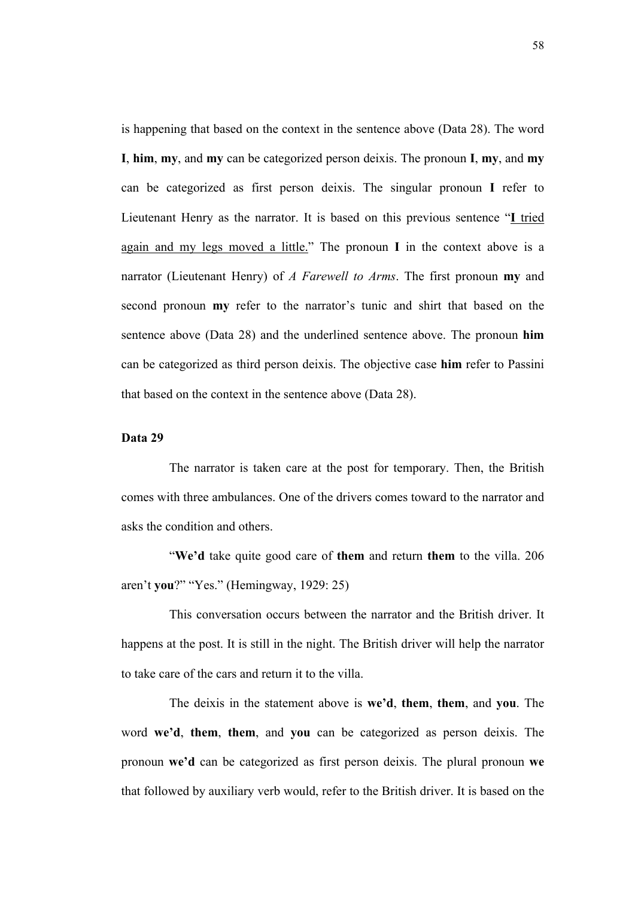is happening that based on the context in the sentence above (Data 28). The word **I**, **him**, **my**, and **my** can be categorized person deixis. The pronoun **I**, **my**, and **my** can be categorized as first person deixis. The singular pronoun **I** refer to Lieutenant Henry as the narrator. It is based on this previous sentence "**I** tried again and my legs moved a little." The pronoun **I** in the context above is a narrator (Lieutenant Henry) of *A Farewell to Arms*. The first pronoun **my** and second pronoun **my** refer to the narrator's tunic and shirt that based on the sentence above (Data 28) and the underlined sentence above. The pronoun **him** can be categorized as third person deixis. The objective case **him** refer to Passini that based on the context in the sentence above (Data 28).

# **Data 29**

The narrator is taken care at the post for temporary. Then, the British comes with three ambulances. One of the drivers comes toward to the narrator and asks the condition and others.

"**We'd** take quite good care of **them** and return **them** to the villa. 206 aren't **you**?" "Yes." (Hemingway, 1929: 25)

This conversation occurs between the narrator and the British driver. It happens at the post. It is still in the night. The British driver will help the narrator to take care of the cars and return it to the villa.

The deixis in the statement above is **we'd**, **them**, **them**, and **you**. The word **we'd**, **them**, **them**, and **you** can be categorized as person deixis. The pronoun **we'd** can be categorized as first person deixis. The plural pronoun **we** that followed by auxiliary verb would, refer to the British driver. It is based on the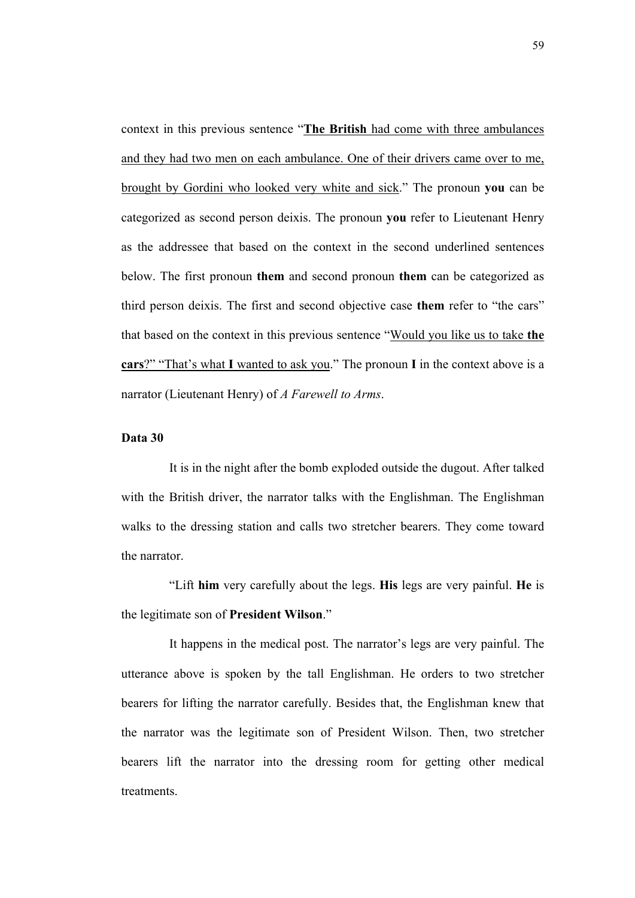context in this previous sentence "**The British** had come with three ambulances and they had two men on each ambulance. One of their drivers came over to me, brought by Gordini who looked very white and sick." The pronoun **you** can be categorized as second person deixis. The pronoun **you** refer to Lieutenant Henry as the addressee that based on the context in the second underlined sentences below. The first pronoun **them** and second pronoun **them** can be categorized as third person deixis. The first and second objective case **them** refer to "the cars" that based on the context in this previous sentence "Would you like us to take **the cars**?" "That's what **I** wanted to ask you." The pronoun **I** in the context above is a narrator (Lieutenant Henry) of *A Farewell to Arms*.

# **Data 30**

It is in the night after the bomb exploded outside the dugout. After talked with the British driver, the narrator talks with the Englishman. The Englishman walks to the dressing station and calls two stretcher bearers. They come toward the narrator.

"Lift **him** very carefully about the legs. **His** legs are very painful. **He** is the legitimate son of **President Wilson**."

It happens in the medical post. The narrator's legs are very painful. The utterance above is spoken by the tall Englishman. He orders to two stretcher bearers for lifting the narrator carefully. Besides that, the Englishman knew that the narrator was the legitimate son of President Wilson. Then, two stretcher bearers lift the narrator into the dressing room for getting other medical treatments.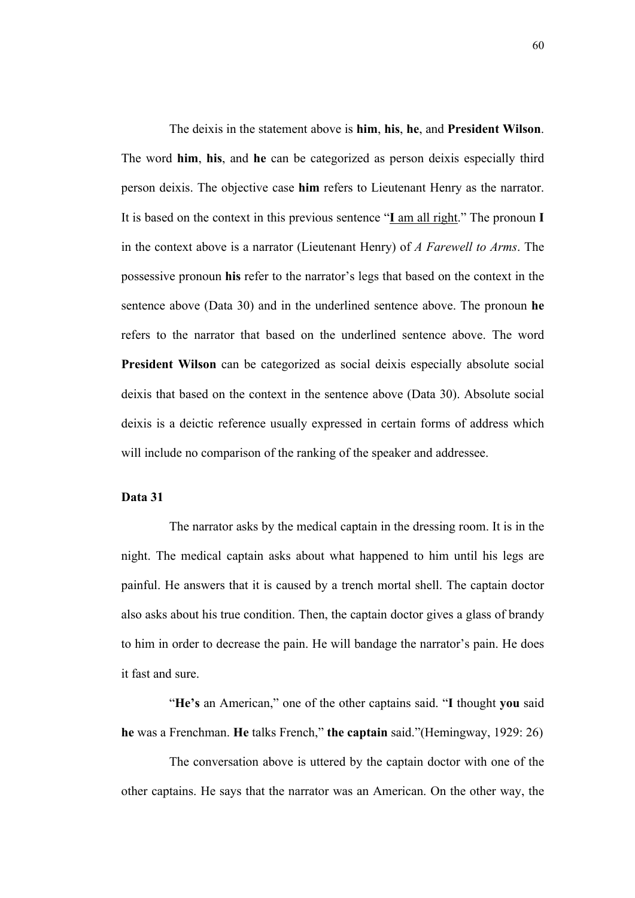The deixis in the statement above is **him**, **his**, **he**, and **President Wilson**. The word **him**, **his**, and **he** can be categorized as person deixis especially third person deixis. The objective case **him** refers to Lieutenant Henry as the narrator. It is based on the context in this previous sentence "**I** am all right." The pronoun **I** in the context above is a narrator (Lieutenant Henry) of *A Farewell to Arms*. The possessive pronoun **his** refer to the narrator's legs that based on the context in the sentence above (Data 30) and in the underlined sentence above. The pronoun **he** refers to the narrator that based on the underlined sentence above. The word **President Wilson** can be categorized as social deixis especially absolute social deixis that based on the context in the sentence above (Data 30). Absolute social deixis is a deictic reference usually expressed in certain forms of address which will include no comparison of the ranking of the speaker and addressee.

# **Data 31**

The narrator asks by the medical captain in the dressing room. It is in the night. The medical captain asks about what happened to him until his legs are painful. He answers that it is caused by a trench mortal shell. The captain doctor also asks about his true condition. Then, the captain doctor gives a glass of brandy to him in order to decrease the pain. He will bandage the narrator's pain. He does it fast and sure.

"**He's** an American," one of the other captains said. "**I** thought **you** said **he** was a Frenchman. **He** talks French," **the captain** said."(Hemingway, 1929: 26)

The conversation above is uttered by the captain doctor with one of the other captains. He says that the narrator was an American. On the other way, the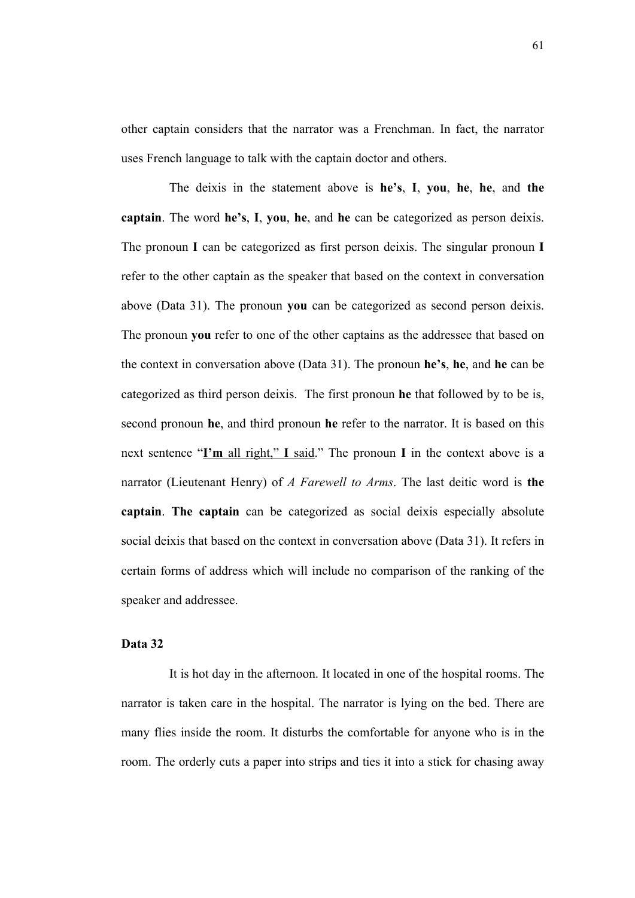other captain considers that the narrator was a Frenchman. In fact, the narrator uses French language to talk with the captain doctor and others.

The deixis in the statement above is **he's**, **I**, **you**, **he**, **he**, and **the captain**. The word **he's**, **I**, **you**, **he**, and **he** can be categorized as person deixis. The pronoun **I** can be categorized as first person deixis. The singular pronoun **I** refer to the other captain as the speaker that based on the context in conversation above (Data 31). The pronoun **you** can be categorized as second person deixis. The pronoun **you** refer to one of the other captains as the addressee that based on the context in conversation above (Data 31). The pronoun **he's**, **he**, and **he** can be categorized as third person deixis. The first pronoun **he** that followed by to be is, second pronoun **he**, and third pronoun **he** refer to the narrator. It is based on this next sentence "**I'm** all right," **I** said." The pronoun **I** in the context above is a narrator (Lieutenant Henry) of *A Farewell to Arms*. The last deitic word is **the captain**. **The captain** can be categorized as social deixis especially absolute social deixis that based on the context in conversation above (Data 31). It refers in certain forms of address which will include no comparison of the ranking of the speaker and addressee.

### **Data 32**

It is hot day in the afternoon. It located in one of the hospital rooms. The narrator is taken care in the hospital. The narrator is lying on the bed. There are many flies inside the room. It disturbs the comfortable for anyone who is in the room. The orderly cuts a paper into strips and ties it into a stick for chasing away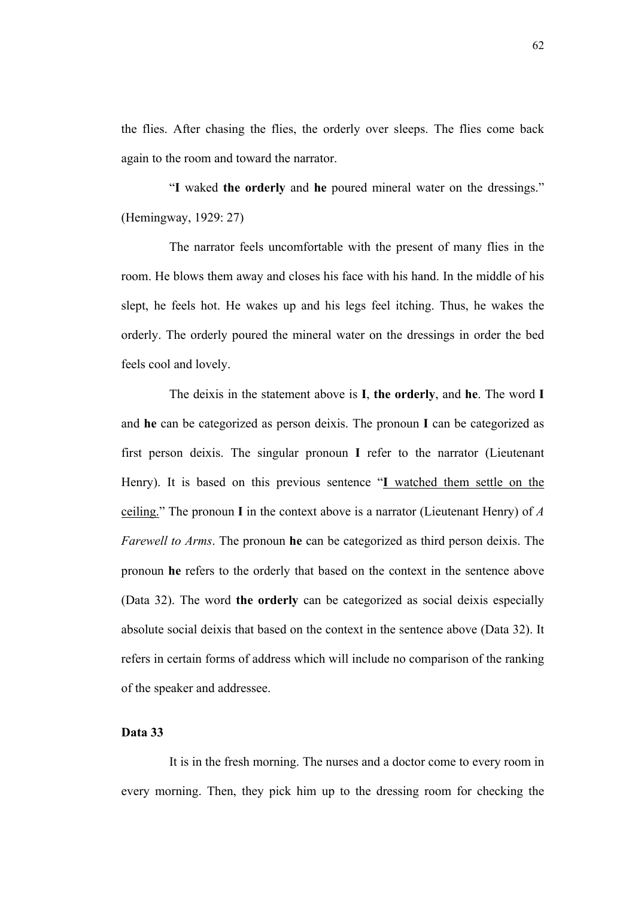the flies. After chasing the flies, the orderly over sleeps. The flies come back again to the room and toward the narrator.

"**I** waked **the orderly** and **he** poured mineral water on the dressings." (Hemingway, 1929: 27)

The narrator feels uncomfortable with the present of many flies in the room. He blows them away and closes his face with his hand. In the middle of his slept, he feels hot. He wakes up and his legs feel itching. Thus, he wakes the orderly. The orderly poured the mineral water on the dressings in order the bed feels cool and lovely.

The deixis in the statement above is **I**, **the orderly**, and **he**. The word **I** and **he** can be categorized as person deixis. The pronoun **I** can be categorized as first person deixis. The singular pronoun **I** refer to the narrator (Lieutenant Henry). It is based on this previous sentence "**I** watched them settle on the ceiling." The pronoun **I** in the context above is a narrator (Lieutenant Henry) of *A Farewell to Arms*. The pronoun **he** can be categorized as third person deixis. The pronoun **he** refers to the orderly that based on the context in the sentence above (Data 32). The word **the orderly** can be categorized as social deixis especially absolute social deixis that based on the context in the sentence above (Data 32). It refers in certain forms of address which will include no comparison of the ranking of the speaker and addressee.

# **Data 33**

It is in the fresh morning. The nurses and a doctor come to every room in every morning. Then, they pick him up to the dressing room for checking the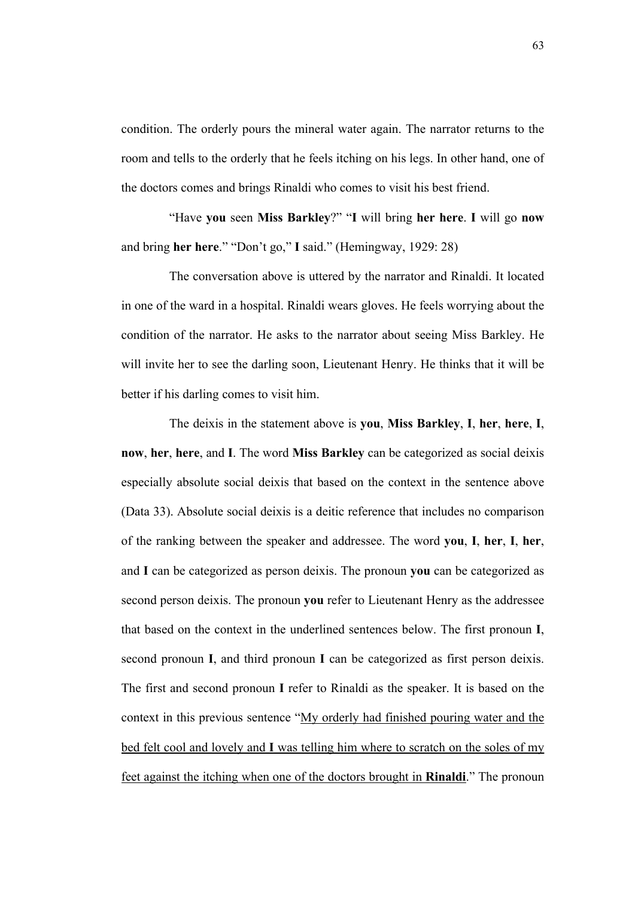condition. The orderly pours the mineral water again. The narrator returns to the room and tells to the orderly that he feels itching on his legs. In other hand, one of the doctors comes and brings Rinaldi who comes to visit his best friend.

"Have **you** seen **Miss Barkley**?" "**I** will bring **her here**. **I** will go **now** and bring **her here**." "Don't go," **I** said." (Hemingway, 1929: 28)

The conversation above is uttered by the narrator and Rinaldi. It located in one of the ward in a hospital. Rinaldi wears gloves. He feels worrying about the condition of the narrator. He asks to the narrator about seeing Miss Barkley. He will invite her to see the darling soon, Lieutenant Henry. He thinks that it will be better if his darling comes to visit him.

The deixis in the statement above is **you**, **Miss Barkley**, **I**, **her**, **here**, **I**, **now**, **her**, **here**, and **I**. The word **Miss Barkley** can be categorized as social deixis especially absolute social deixis that based on the context in the sentence above (Data 33). Absolute social deixis is a deitic reference that includes no comparison of the ranking between the speaker and addressee. The word **you**, **I**, **her**, **I**, **her**, and **I** can be categorized as person deixis. The pronoun **you** can be categorized as second person deixis. The pronoun **you** refer to Lieutenant Henry as the addressee that based on the context in the underlined sentences below. The first pronoun **I**, second pronoun **I**, and third pronoun **I** can be categorized as first person deixis. The first and second pronoun **I** refer to Rinaldi as the speaker. It is based on the context in this previous sentence "My orderly had finished pouring water and the bed felt cool and lovely and **I** was telling him where to scratch on the soles of my feet against the itching when one of the doctors brought in **Rinaldi**." The pronoun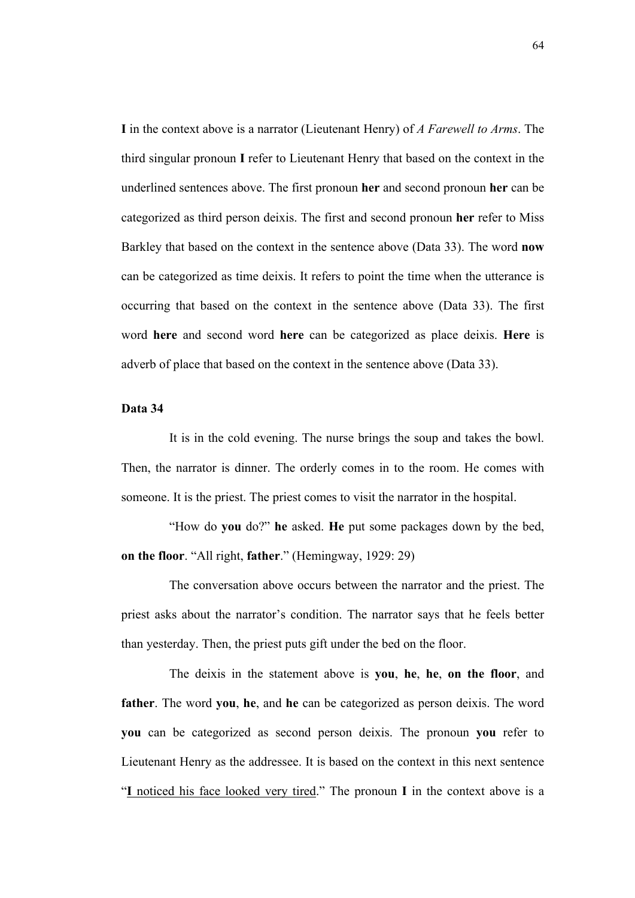**I** in the context above is a narrator (Lieutenant Henry) of *A Farewell to Arms*. The third singular pronoun **I** refer to Lieutenant Henry that based on the context in the underlined sentences above. The first pronoun **her** and second pronoun **her** can be categorized as third person deixis. The first and second pronoun **her** refer to Miss Barkley that based on the context in the sentence above (Data 33). The word **now** can be categorized as time deixis. It refers to point the time when the utterance is occurring that based on the context in the sentence above (Data 33). The first word **here** and second word **here** can be categorized as place deixis. **Here** is adverb of place that based on the context in the sentence above (Data 33).

# **Data 34**

It is in the cold evening. The nurse brings the soup and takes the bowl. Then, the narrator is dinner. The orderly comes in to the room. He comes with someone. It is the priest. The priest comes to visit the narrator in the hospital.

"How do **you** do?" **he** asked. **He** put some packages down by the bed, **on the floor**. "All right, **father**." (Hemingway, 1929: 29)

The conversation above occurs between the narrator and the priest. The priest asks about the narrator's condition. The narrator says that he feels better than yesterday. Then, the priest puts gift under the bed on the floor.

The deixis in the statement above is **you**, **he**, **he**, **on the floor**, and **father**. The word **you**, **he**, and **he** can be categorized as person deixis. The word **you** can be categorized as second person deixis. The pronoun **you** refer to Lieutenant Henry as the addressee. It is based on the context in this next sentence "**I** noticed his face looked very tired." The pronoun **I** in the context above is a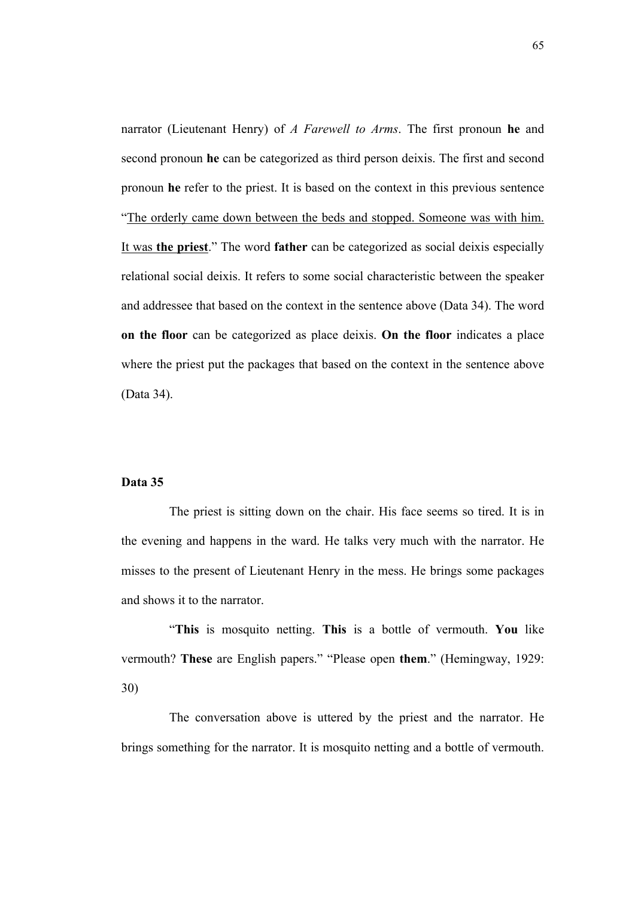narrator (Lieutenant Henry) of *A Farewell to Arms*. The first pronoun **he** and second pronoun **he** can be categorized as third person deixis. The first and second pronoun **he** refer to the priest. It is based on the context in this previous sentence "The orderly came down between the beds and stopped. Someone was with him. It was **the priest**." The word **father** can be categorized as social deixis especially relational social deixis. It refers to some social characteristic between the speaker and addressee that based on the context in the sentence above (Data 34). The word **on the floor** can be categorized as place deixis. **On the floor** indicates a place where the priest put the packages that based on the context in the sentence above (Data 34).

## **Data 35**

The priest is sitting down on the chair. His face seems so tired. It is in the evening and happens in the ward. He talks very much with the narrator. He misses to the present of Lieutenant Henry in the mess. He brings some packages and shows it to the narrator.

"**This** is mosquito netting. **This** is a bottle of vermouth. **You** like vermouth? **These** are English papers." "Please open **them**." (Hemingway, 1929: 30)

The conversation above is uttered by the priest and the narrator. He brings something for the narrator. It is mosquito netting and a bottle of vermouth.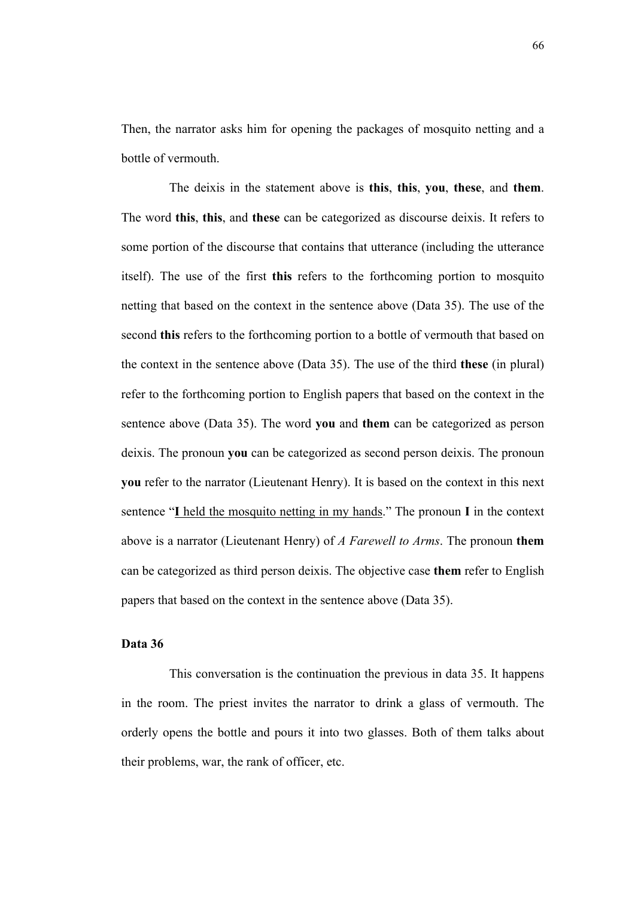Then, the narrator asks him for opening the packages of mosquito netting and a bottle of vermouth.

The deixis in the statement above is **this**, **this**, **you**, **these**, and **them**. The word **this**, **this**, and **these** can be categorized as discourse deixis. It refers to some portion of the discourse that contains that utterance (including the utterance itself). The use of the first **this** refers to the forthcoming portion to mosquito netting that based on the context in the sentence above (Data 35). The use of the second **this** refers to the forthcoming portion to a bottle of vermouth that based on the context in the sentence above (Data 35). The use of the third **these** (in plural) refer to the forthcoming portion to English papers that based on the context in the sentence above (Data 35). The word **you** and **them** can be categorized as person deixis. The pronoun **you** can be categorized as second person deixis. The pronoun **you** refer to the narrator (Lieutenant Henry). It is based on the context in this next sentence "**I** held the mosquito netting in my hands." The pronoun **I** in the context above is a narrator (Lieutenant Henry) of *A Farewell to Arms*. The pronoun **them** can be categorized as third person deixis. The objective case **them** refer to English papers that based on the context in the sentence above (Data 35).

### **Data 36**

This conversation is the continuation the previous in data 35. It happens in the room. The priest invites the narrator to drink a glass of vermouth. The orderly opens the bottle and pours it into two glasses. Both of them talks about their problems, war, the rank of officer, etc.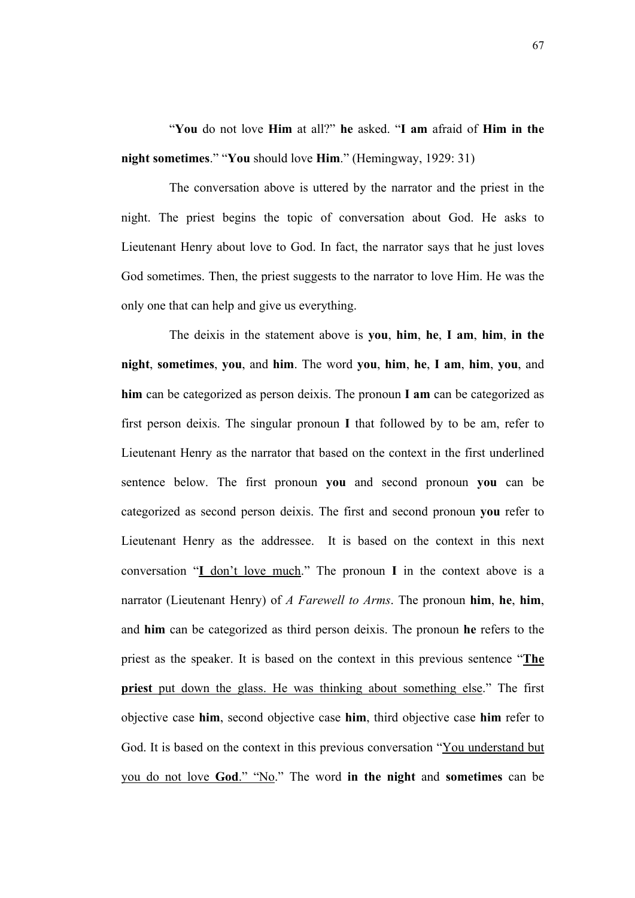"**You** do not love **Him** at all?" **he** asked. "**I am** afraid of **Him in the night sometimes**." "**You** should love **Him**." (Hemingway, 1929: 31)

The conversation above is uttered by the narrator and the priest in the night. The priest begins the topic of conversation about God. He asks to Lieutenant Henry about love to God. In fact, the narrator says that he just loves God sometimes. Then, the priest suggests to the narrator to love Him. He was the only one that can help and give us everything.

The deixis in the statement above is **you**, **him**, **he**, **I am**, **him**, **in the night**, **sometimes**, **you**, and **him**. The word **you**, **him**, **he**, **I am**, **him**, **you**, and **him** can be categorized as person deixis. The pronoun **I am** can be categorized as first person deixis. The singular pronoun **I** that followed by to be am, refer to Lieutenant Henry as the narrator that based on the context in the first underlined sentence below. The first pronoun **you** and second pronoun **you** can be categorized as second person deixis. The first and second pronoun **you** refer to Lieutenant Henry as the addressee. It is based on the context in this next conversation "**I** don't love much." The pronoun **I** in the context above is a narrator (Lieutenant Henry) of *A Farewell to Arms*. The pronoun **him**, **he**, **him**, and **him** can be categorized as third person deixis. The pronoun **he** refers to the priest as the speaker. It is based on the context in this previous sentence "**The priest** put down the glass. He was thinking about something else." The first objective case **him**, second objective case **him**, third objective case **him** refer to God. It is based on the context in this previous conversation "You understand but you do not love **God**." "No." The word **in the night** and **sometimes** can be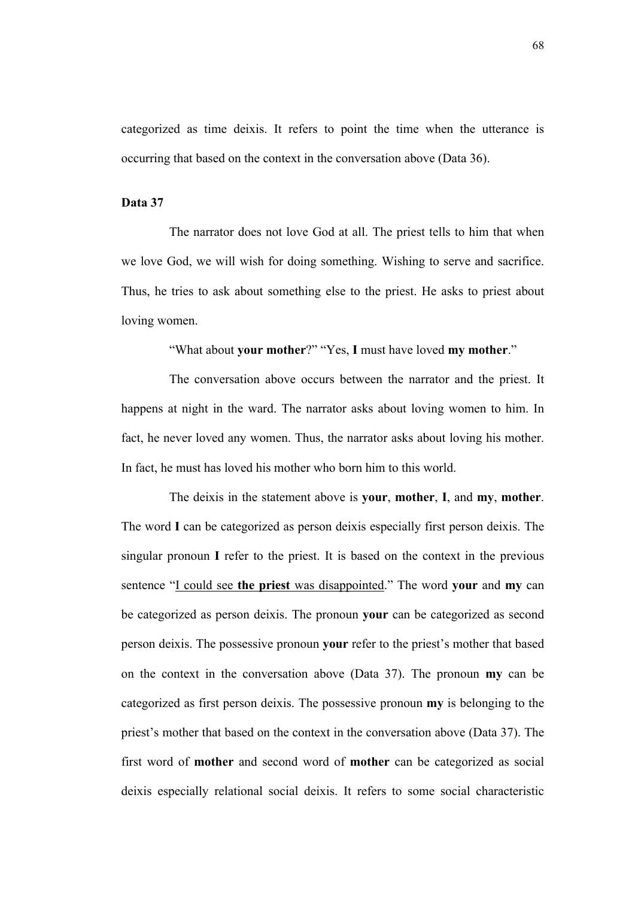categorized as time deixis. It refers to point the time when the utterance is occurring that based on the context in the conversation above (Data 36).

### **Data 37**

The narrator does not love God at all. The priest tells to him that when we love God, we will wish for doing something. Wishing to serve and sacrifice. Thus, he tries to ask about something else to the priest. He asks to priest about loving women.

"What about **your mother**?" "Yes, **I** must have loved **my mother**."

The conversation above occurs between the narrator and the priest. It happens at night in the ward. The narrator asks about loving women to him. In fact, he never loved any women. Thus, the narrator asks about loving his mother. In fact, he must has loved his mother who born him to this world.

The deixis in the statement above is **your**, **mother**, **I**, and **my**, **mother**. The word **I** can be categorized as person deixis especially first person deixis. The singular pronoun **I** refer to the priest. It is based on the context in the previous sentence "I could see **the priest** was disappointed." The word **your** and **my** can be categorized as person deixis. The pronoun **your** can be categorized as second person deixis. The possessive pronoun **your** refer to the priest's mother that based on the context in the conversation above (Data 37). The pronoun **my** can be categorized as first person deixis. The possessive pronoun **my** is belonging to the priest's mother that based on the context in the conversation above (Data 37). The first word of **mother** and second word of **mother** can be categorized as social deixis especially relational social deixis. It refers to some social characteristic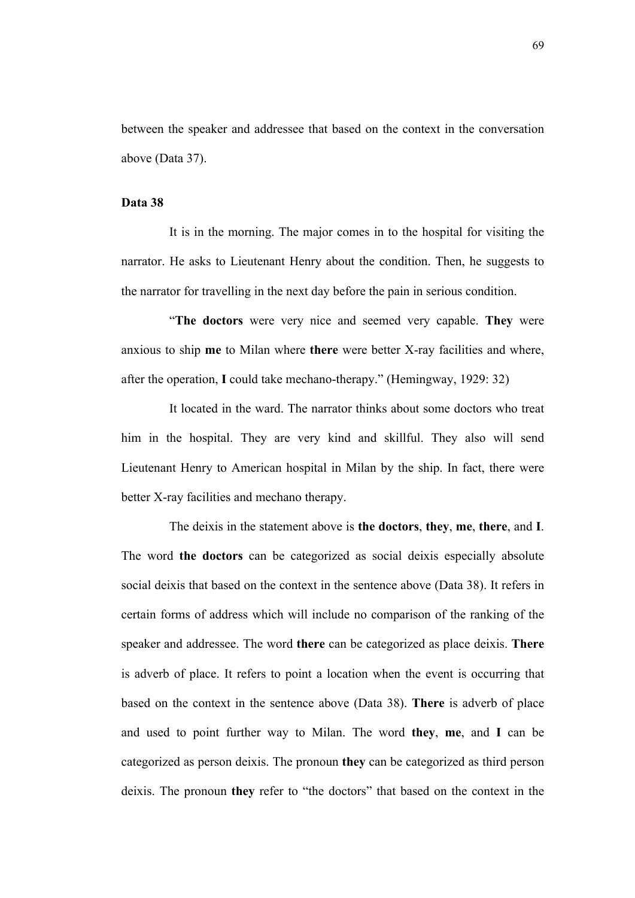between the speaker and addressee that based on the context in the conversation above (Data 37).

### **Data 38**

It is in the morning. The major comes in to the hospital for visiting the narrator. He asks to Lieutenant Henry about the condition. Then, he suggests to the narrator for travelling in the next day before the pain in serious condition.

"**The doctors** were very nice and seemed very capable. **They** were anxious to ship **me** to Milan where **there** were better X-ray facilities and where, after the operation, **I** could take mechano-therapy." (Hemingway, 1929: 32)

It located in the ward. The narrator thinks about some doctors who treat him in the hospital. They are very kind and skillful. They also will send Lieutenant Henry to American hospital in Milan by the ship. In fact, there were better X-ray facilities and mechano therapy.

The deixis in the statement above is **the doctors**, **they**, **me**, **there**, and **I**. The word **the doctors** can be categorized as social deixis especially absolute social deixis that based on the context in the sentence above (Data 38). It refers in certain forms of address which will include no comparison of the ranking of the speaker and addressee. The word **there** can be categorized as place deixis. **There** is adverb of place. It refers to point a location when the event is occurring that based on the context in the sentence above (Data 38). **There** is adverb of place and used to point further way to Milan. The word **they**, **me**, and **I** can be categorized as person deixis. The pronoun **they** can be categorized as third person deixis. The pronoun **they** refer to "the doctors" that based on the context in the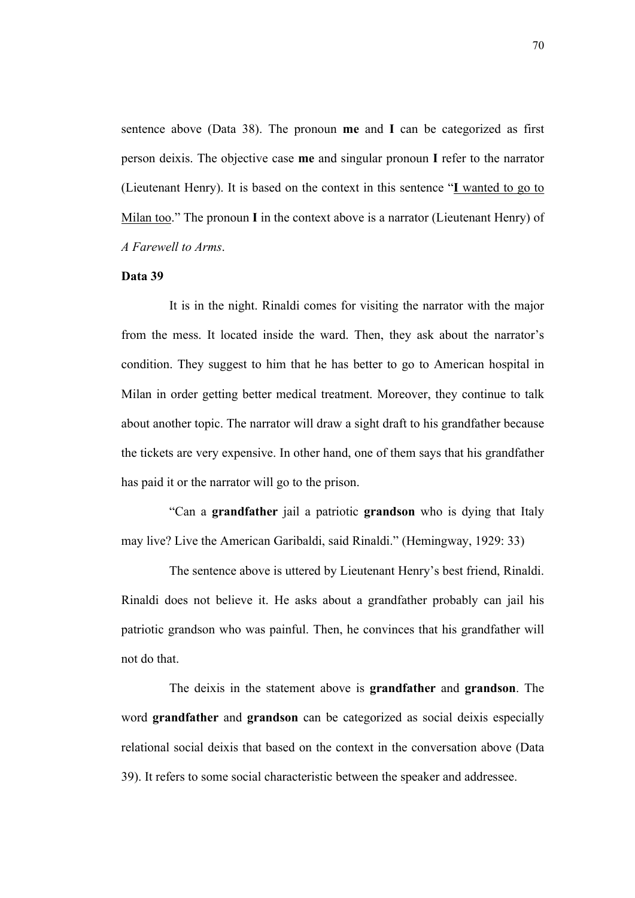sentence above (Data 38). The pronoun **me** and **I** can be categorized as first person deixis. The objective case **me** and singular pronoun **I** refer to the narrator (Lieutenant Henry). It is based on the context in this sentence "**I** wanted to go to Milan too." The pronoun **I** in the context above is a narrator (Lieutenant Henry) of *A Farewell to Arms*.

### **Data 39**

It is in the night. Rinaldi comes for visiting the narrator with the major from the mess. It located inside the ward. Then, they ask about the narrator's condition. They suggest to him that he has better to go to American hospital in Milan in order getting better medical treatment. Moreover, they continue to talk about another topic. The narrator will draw a sight draft to his grandfather because the tickets are very expensive. In other hand, one of them says that his grandfather has paid it or the narrator will go to the prison.

"Can a **grandfather** jail a patriotic **grandson** who is dying that Italy may live? Live the American Garibaldi, said Rinaldi." (Hemingway, 1929: 33)

The sentence above is uttered by Lieutenant Henry's best friend, Rinaldi. Rinaldi does not believe it. He asks about a grandfather probably can jail his patriotic grandson who was painful. Then, he convinces that his grandfather will not do that.

The deixis in the statement above is **grandfather** and **grandson**. The word **grandfather** and **grandson** can be categorized as social deixis especially relational social deixis that based on the context in the conversation above (Data 39). It refers to some social characteristic between the speaker and addressee.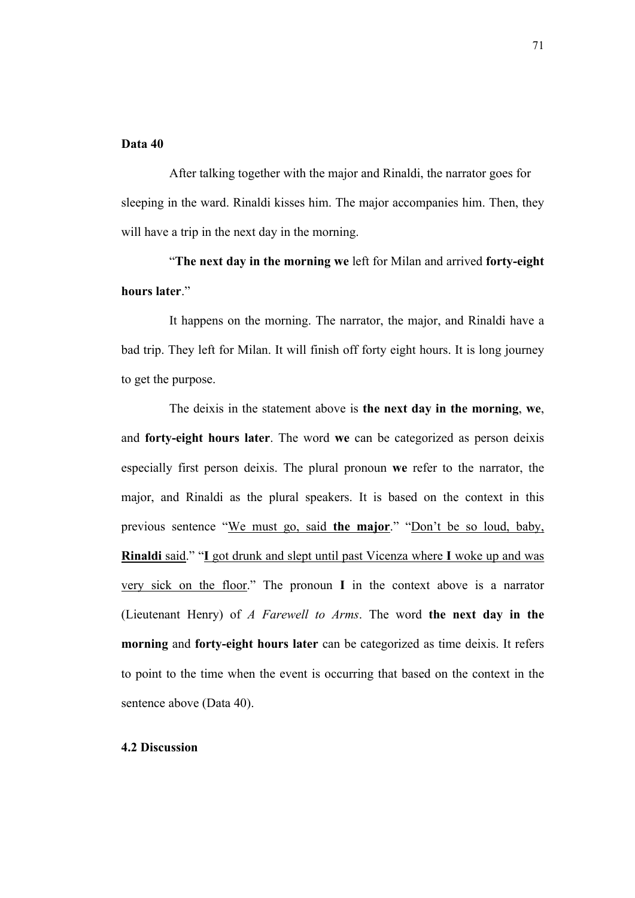### **Data 40**

After talking together with the major and Rinaldi, the narrator goes for sleeping in the ward. Rinaldi kisses him. The major accompanies him. Then, they will have a trip in the next day in the morning.

"**The next day in the morning we** left for Milan and arrived **forty-eight hours later**."

It happens on the morning. The narrator, the major, and Rinaldi have a bad trip. They left for Milan. It will finish off forty eight hours. It is long journey to get the purpose.

The deixis in the statement above is **the next day in the morning**, **we**, and **forty-eight hours later**. The word **we** can be categorized as person deixis especially first person deixis. The plural pronoun **we** refer to the narrator, the major, and Rinaldi as the plural speakers. It is based on the context in this previous sentence "We must go, said **the major**." "Don't be so loud, baby, **Rinaldi** said." "**I** got drunk and slept until past Vicenza where **I** woke up and was very sick on the floor." The pronoun **I** in the context above is a narrator (Lieutenant Henry) of *A Farewell to Arms*. The word **the next day in the morning** and **forty-eight hours later** can be categorized as time deixis. It refers to point to the time when the event is occurring that based on the context in the sentence above (Data 40).

# **4.2 Discussion**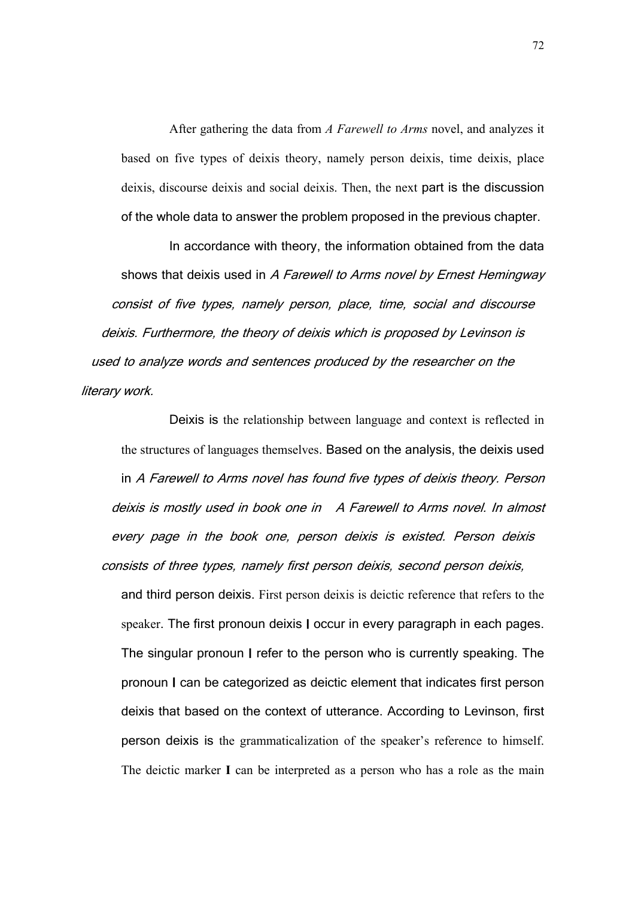After gathering the data from *A Farewell to Arms* novel, and analyzes it based on five types of deixis theory, namely person deixis, time deixis, place deixis, discourse deixis and social deixis. Then, the next part is the discussion of the whole data to answer the problem proposed in the previous chapter.

In accordance with theory, the information obtained from the data shows that deixis used in *A Farewell to Arms* novel by Ernest Hemingway consist of five types, namely person, place, time, social and discourse deixis. Furthermore, the theory of deixis which is proposed by Levinson is used to analyze words and sentences produced by the researcher on the literary work.

Deixis is the relationship between language and context is reflected in the structures of languages themselves. Based on the analysis, the deixis used in *A Farewell to Arms* novel has found five types of deixis theory. Person deixis is mostly used in book one in *A Farewell to Arms* novel. In almost every page in the book one, person deixis is existed. Person deixis consists of three types, namely first person deixis, second person deixis,

and third person deixis. First person deixis is deictic reference that refers to the speaker. The first pronoun deixis **I** occur in every paragraph in each pages. The singular pronoun **I** refer to the person who is currently speaking. The pronoun **I** can be categorized as deictic element that indicates first person deixis that based on the context of utterance. According to Levinson, first person deixis is the grammaticalization of the speaker's reference to himself. The deictic marker **I** can be interpreted as a person who has a role as the main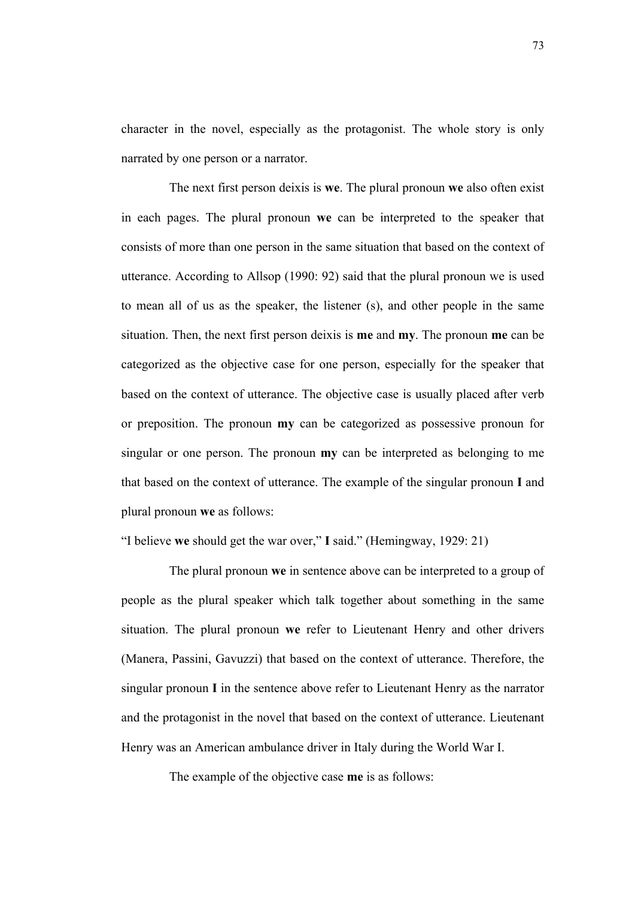character in the novel, especially as the protagonist. The whole story is only narrated by one person or a narrator.

The next first person deixis is **we**. The plural pronoun **we** also often exist in each pages. The plural pronoun **we** can be interpreted to the speaker that consists of more than one person in the same situation that based on the context of utterance. According to Allsop (1990: 92) said that the plural pronoun we is used to mean all of us as the speaker, the listener (s), and other people in the same situation. Then, the next first person deixis is **me** and **my**. The pronoun **me** can be categorized as the objective case for one person, especially for the speaker that based on the context of utterance. The objective case is usually placed after verb or preposition. The pronoun **my** can be categorized as possessive pronoun for singular or one person. The pronoun **my** can be interpreted as belonging to me that based on the context of utterance. The example of the singular pronoun **I** and plural pronoun **we** as follows:

"I believe **we** should get the war over," **I** said." (Hemingway, 1929: 21)

The plural pronoun **we** in sentence above can be interpreted to a group of people as the plural speaker which talk together about something in the same situation. The plural pronoun **we** refer to Lieutenant Henry and other drivers (Manera, Passini, Gavuzzi) that based on the context of utterance. Therefore, the singular pronoun **I** in the sentence above refer to Lieutenant Henry as the narrator and the protagonist in the novel that based on the context of utterance. Lieutenant Henry was an American ambulance driver in Italy during the World War I.

The example of the objective case **me** is as follows: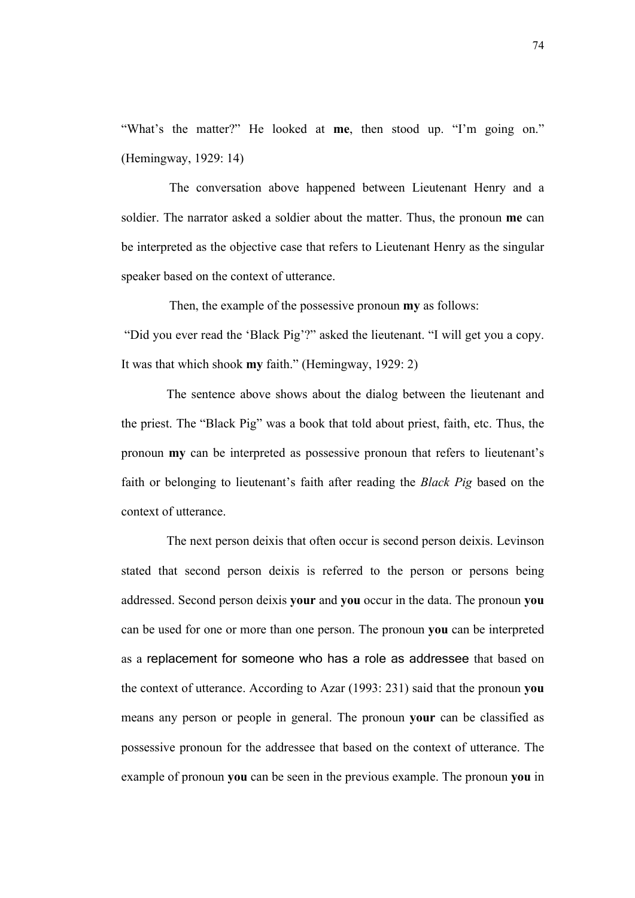"What's the matter?" He looked at **me**, then stood up. "I'm going on." (Hemingway, 1929: 14)

The conversation above happened between Lieutenant Henry and a soldier. The narrator asked a soldier about the matter. Thus, the pronoun **me** can be interpreted as the objective case that refers to Lieutenant Henry as the singular speaker based on the context of utterance.

Then, the example of the possessive pronoun **my** as follows: "Did you ever read the 'Black Pig'?" asked the lieutenant. "I will get you a copy. It was that which shook **my** faith." (Hemingway, 1929: 2)

The sentence above shows about the dialog between the lieutenant and the priest. The "Black Pig" was a book that told about priest, faith, etc. Thus, the pronoun **my** can be interpreted as possessive pronoun that refers to lieutenant's faith or belonging to lieutenant's faith after reading the *Black Pig* based on the context of utterance.

The next person deixis that often occur is second person deixis. Levinson stated that second person deixis is referred to the person or persons being addressed. Second person deixis **your** and **you** occur in the data. The pronoun **you** can be used for one or more than one person. The pronoun **you** can be interpreted as a replacement for someone who has a role as addressee that based on the context of utterance. According to Azar (1993: 231) said that the pronoun **you** means any person or people in general. The pronoun **your** can be classified as possessive pronoun for the addressee that based on the context of utterance. The example of pronoun **you** can be seen in the previous example. The pronoun **you** in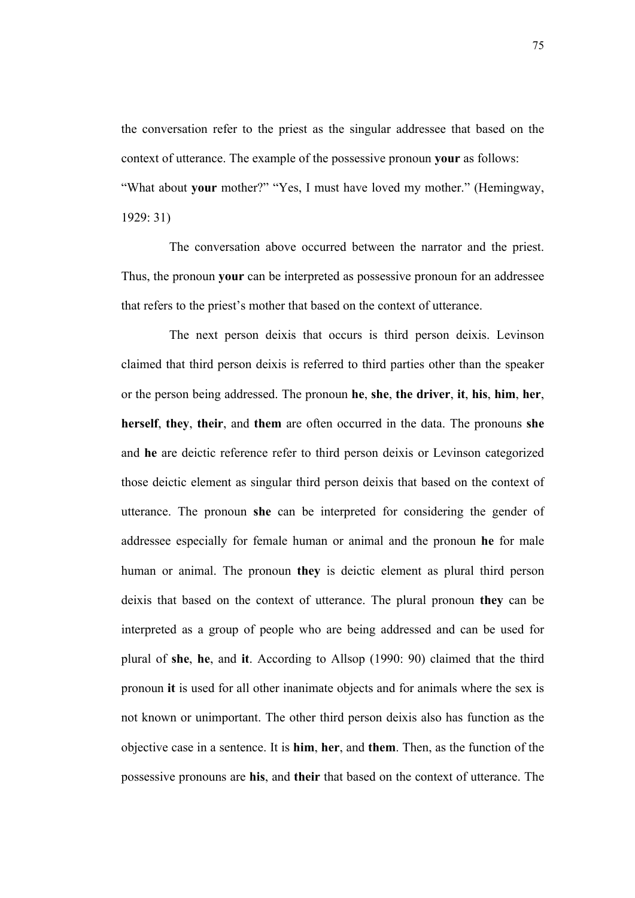the conversation refer to the priest as the singular addressee that based on the context of utterance. The example of the possessive pronoun **your** as follows: "What about **your** mother?" "Yes, I must have loved my mother." (Hemingway, 1929: 31)

The conversation above occurred between the narrator and the priest. Thus, the pronoun **your** can be interpreted as possessive pronoun for an addressee that refers to the priest's mother that based on the context of utterance.

The next person deixis that occurs is third person deixis. Levinson claimed that third person deixis is referred to third parties other than the speaker or the person being addressed. The pronoun **he**, **she**, **the driver**, **it**, **his**, **him**, **her**, **herself**, **they**, **their**, and **them** are often occurred in the data. The pronouns **she** and **he** are deictic reference refer to third person deixis or Levinson categorized those deictic element as singular third person deixis that based on the context of utterance. The pronoun **she** can be interpreted for considering the gender of addressee especially for female human or animal and the pronoun **he** for male human or animal. The pronoun **they** is deictic element as plural third person deixis that based on the context of utterance. The plural pronoun **they** can be interpreted as a group of people who are being addressed and can be used for plural of **she**, **he**, and **it**. According to Allsop (1990: 90) claimed that the third pronoun **it** is used for all other inanimate objects and for animals where the sex is not known or unimportant. The other third person deixis also has function as the objective case in a sentence. It is **him**, **her**, and **them**. Then, as the function of the possessive pronouns are **his**, and **their** that based on the context of utterance. The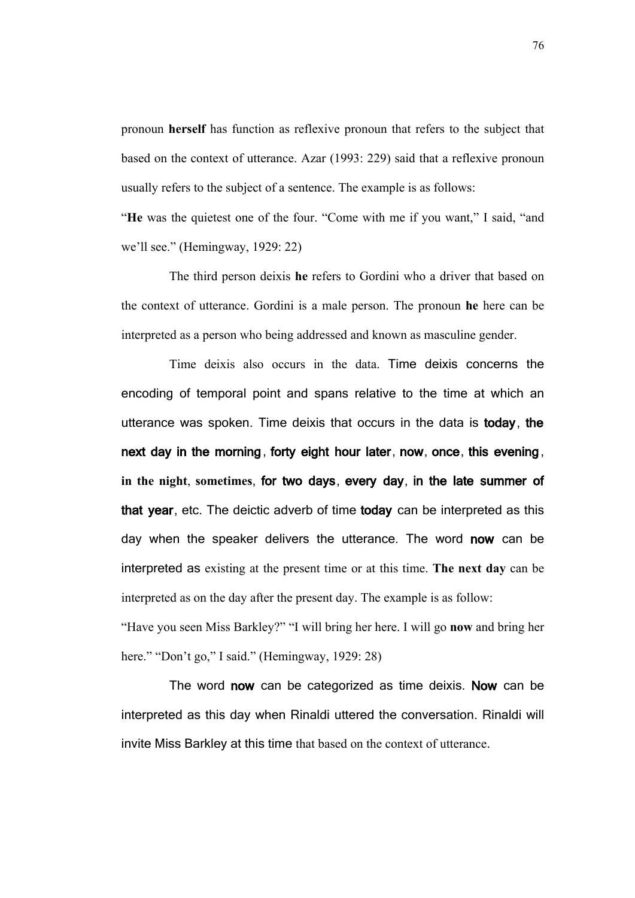pronoun **herself** has function as reflexive pronoun that refers to the subject that based on the context of utterance. Azar (1993: 229) said that a reflexive pronoun usually refers to the subject of a sentence. The example is as follows:

"**He** was the quietest one of the four. "Come with me if you want," I said, "and we'll see." (Hemingway, 1929: 22)

The third person deixis **he** refers to Gordini who a driver that based on the context of utterance. Gordini is a male person. The pronoun **he** here can be interpreted as a person who being addressed and known as masculine gender.

Time deixis also occurs in the data. Time deixis concerns the encoding of temporal point and spans relative to the time at which an utterance was spoken. Time deixis that occurs in the data is **today**, **the next day in the morning**, **forty eight hour later**, **now**, **once**, **this evening**, **in the night**, **sometimes**, **for two days**, **every day**, **in the late summer of that year**, etc. The deictic adverb of time **today** can be interpreted as this day when the speaker delivers the utterance. The word **now** can be interpreted as existing at the present time or at this time. **The next day** can be interpreted as on the day after the present day. The example is as follow:

"Have you seen Miss Barkley?" "I will bring her here. I will go **now** and bring her here." "Don't go," I said." (Hemingway, 1929: 28)

The word **now** can be categorized as time deixis. **Now** can be interpreted as this day when Rinaldi uttered the conversation. Rinaldi will invite Miss Barkley at this time that based on the context of utterance.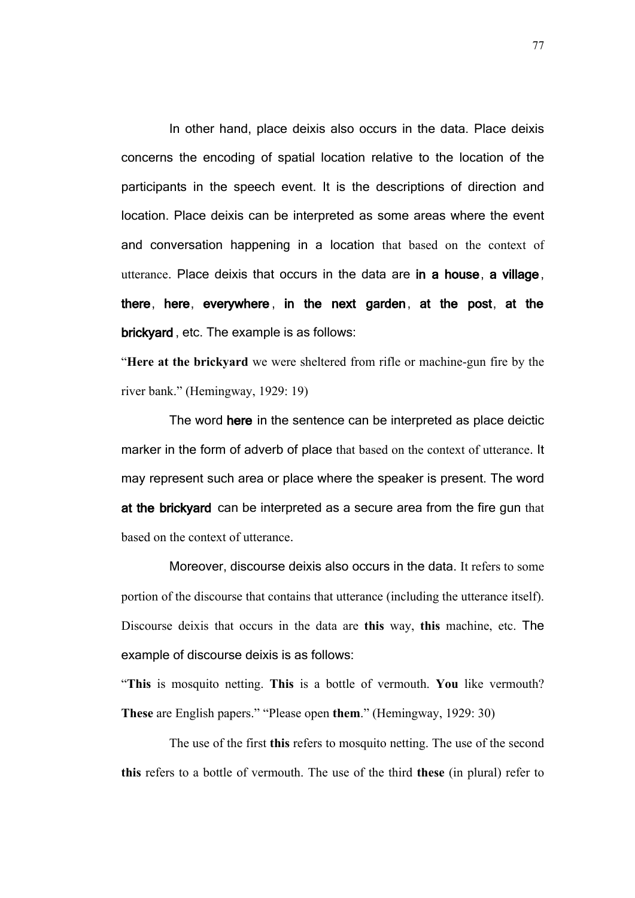In other hand, place deixis also occurs in the data. Place deixis concerns the encoding of spatial location relative to the location of the participants in the speech event. It is the descriptions of direction and location. Place deixis can be interpreted as some areas where the event and conversation happening in a location that based on the context of utterance. Place deixis that occurs in the data are **in a house**, **a village**, **there**, **here**, **everywhere** , **in the next garden**, **at the post**, **at the brickyard** , etc. The example is as follows:

"**Here at the brickyard** we were sheltered from rifle or machine-gun fire by the river bank." (Hemingway, 1929: 19)

The word **here** in the sentence can be interpreted as place deictic marker in the form of adverb of place that based on the context of utterance. It may represent such area or place where the speaker is present. The word **at the brickyard** can be interpreted as a secure area from the fire gun that based on the context of utterance.

Moreover, discourse deixis also occurs in the data. It refers to some portion of the discourse that contains that utterance (including the utterance itself). Discourse deixis that occurs in the data are **this** way, **this** machine, etc. The example of discourse deixis is as follows:

"**This** is mosquito netting. **This** is a bottle of vermouth. **You** like vermouth? **These** are English papers." "Please open **them**." (Hemingway, 1929: 30)

The use of the first **this** refers to mosquito netting. The use of the second **this** refers to a bottle of vermouth. The use of the third **these** (in plural) refer to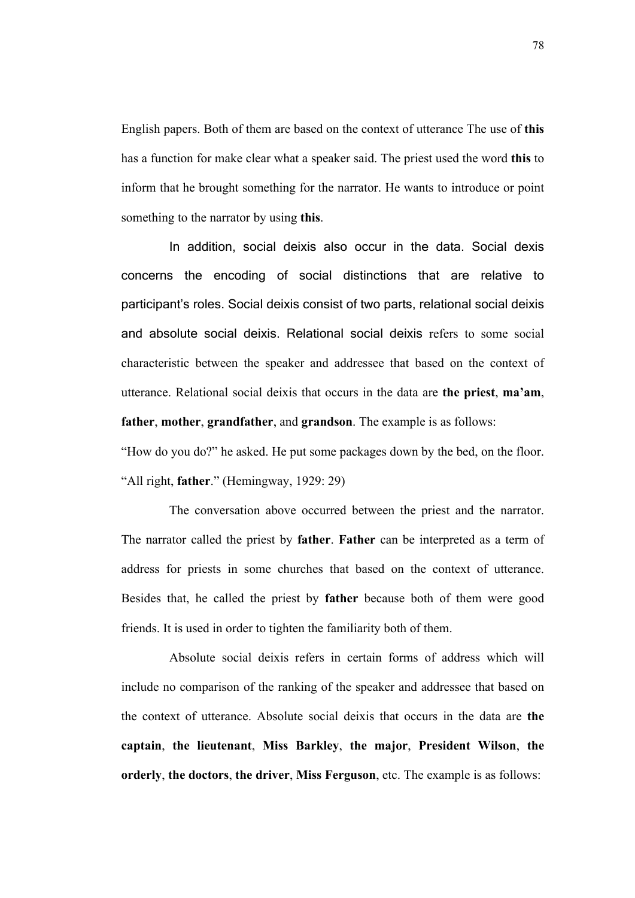English papers. Both of them are based on the context of utterance The use of **this** has a function for make clear what a speaker said. The priest used the word **this** to inform that he brought something for the narrator. He wants to introduce or point something to the narrator by using **this**.

In addition, social deixis also occur in the data. Social dexis concerns the encoding of social distinctions that are relative to participant's roles. Social deixis consist of two parts, relational social deixis and absolute social deixis. Relational social deixis refers to some social characteristic between the speaker and addressee that based on the context of utterance. Relational social deixis that occurs in the data are **the priest**, **ma'am**, **father**, **mother**, **grandfather**, and **grandson**. The example is as follows:

"How do you do?" he asked. He put some packages down by the bed, on the floor. "All right, **father**." (Hemingway, 1929: 29)

The conversation above occurred between the priest and the narrator. The narrator called the priest by **father**. **Father** can be interpreted as a term of address for priests in some churches that based on the context of utterance. Besides that, he called the priest by **father** because both of them were good friends. It is used in order to tighten the familiarity both of them.

Absolute social deixis refers in certain forms of address which will include no comparison of the ranking of the speaker and addressee that based on the context of utterance. Absolute social deixis that occurs in the data are **the captain**, **the lieutenant**, **Miss Barkley**, **the major**, **President Wilson**, **the orderly**, **the doctors**, **the driver**, **Miss Ferguson**, etc. The example is as follows: